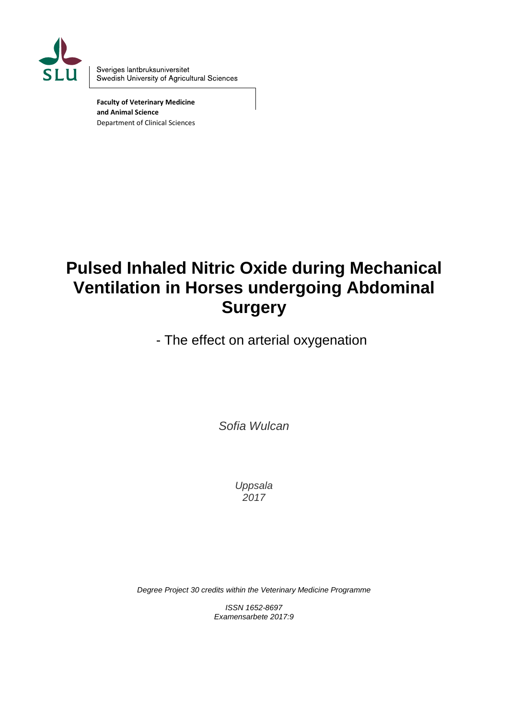

Sveriges lantbruksuniversitet Swedish University of Agricultural Sciences

**Faculty of Veterinary Medicine and Animal Science** Department of Clinical Sciences

# **Pulsed Inhaled Nitric Oxide during Mechanical Ventilation in Horses undergoing Abdominal Surgery**

- The effect on arterial oxygenation

*Sofia Wulcan*

*Uppsala 2017*

*Degree Project 30 credits within the Veterinary Medicine Programme*

*ISSN 1652-8697 Examensarbete 2017:9*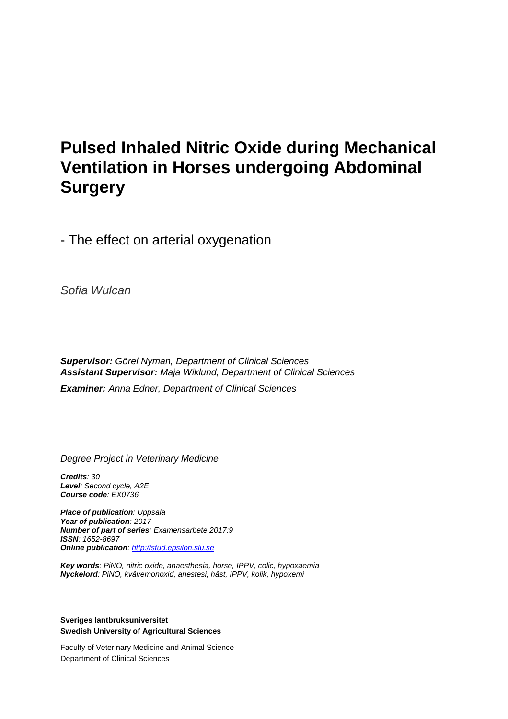# **Pulsed Inhaled Nitric Oxide during Mechanical Ventilation in Horses undergoing Abdominal Surgery**

- The effect on arterial oxygenation

*Sofia Wulcan*

*Supervisor: Görel Nyman, Department of Clinical Sciences Assistant Supervisor: Maja Wiklund, Department of Clinical Sciences*

*Examiner: Anna Edner, Department of Clinical Sciences* 

*Degree Project in Veterinary Medicine*

*Credits: 30 Level: Second cycle, A2E Course code: EX0736*

*Place of publication: Uppsala Year of publication: 2017 Number of part of series: Examensarbete 2017:9 ISSN: 1652-8697 Online publication: [http://stud.epsilon.slu.se](http://stud.epsilon.slu.se/)*

*Key words: PiNO, nitric oxide, anaesthesia, horse, IPPV, colic, hypoxaemia Nyckelord: PiNO, kvävemonoxid, anestesi, häst, IPPV, kolik, hypoxemi* 

**Sveriges lantbruksuniversitet Swedish University of Agricultural Sciences**

Faculty of Veterinary Medicine and Animal Science Department of Clinical Sciences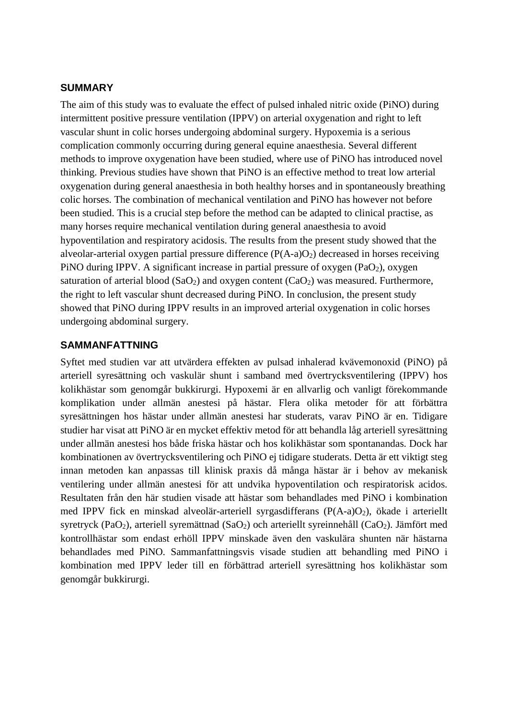#### **SUMMARY**

The aim of this study was to evaluate the effect of pulsed inhaled nitric oxide (PiNO) during intermittent positive pressure ventilation (IPPV) on arterial oxygenation and right to left vascular shunt in colic horses undergoing abdominal surgery. Hypoxemia is a serious complication commonly occurring during general equine anaesthesia. Several different methods to improve oxygenation have been studied, where use of PiNO has introduced novel thinking. Previous studies have shown that PiNO is an effective method to treat low arterial oxygenation during general anaesthesia in both healthy horses and in spontaneously breathing colic horses. The combination of mechanical ventilation and PiNO has however not before been studied. This is a crucial step before the method can be adapted to clinical practise, as many horses require mechanical ventilation during general anaesthesia to avoid hypoventilation and respiratory acidosis. The results from the present study showed that the alveolar-arterial oxygen partial pressure difference  $(P(A-a)O_2)$  decreased in horses receiving PiNO during IPPV. A significant increase in partial pressure of oxygen  $(PaO<sub>2</sub>)$ , oxygen saturation of arterial blood  $(SaO<sub>2</sub>)$  and oxygen content  $(CaO<sub>2</sub>)$  was measured. Furthermore, the right to left vascular shunt decreased during PiNO. In conclusion, the present study showed that PiNO during IPPV results in an improved arterial oxygenation in colic horses undergoing abdominal surgery.

#### **SAMMANFATTNING**

Syftet med studien var att utvärdera effekten av pulsad inhalerad kvävemonoxid (PiNO) på arteriell syresättning och vaskulär shunt i samband med övertrycksventilering (IPPV) hos kolikhästar som genomgår bukkirurgi. Hypoxemi är en allvarlig och vanligt förekommande komplikation under allmän anestesi på hästar. Flera olika metoder för att förbättra syresättningen hos hästar under allmän anestesi har studerats, varav PiNO är en. Tidigare studier har visat att PiNO är en mycket effektiv metod för att behandla låg arteriell syresättning under allmän anestesi hos både friska hästar och hos kolikhästar som spontanandas. Dock har kombinationen av övertrycksventilering och PiNO ej tidigare studerats. Detta är ett viktigt steg innan metoden kan anpassas till klinisk praxis då många hästar är i behov av mekanisk ventilering under allmän anestesi för att undvika hypoventilation och respiratorisk acidos. Resultaten från den här studien visade att hästar som behandlades med PiNO i kombination med IPPV fick en minskad alveolär-arteriell syrgasdifferans (P(A-a)O<sub>2</sub>), ökade i arteriellt syretryck (PaO<sub>2</sub>), arteriell syremättnad (SaO<sub>2</sub>) och arteriellt syreinnehåll (CaO<sub>2</sub>). Jämfört med kontrollhästar som endast erhöll IPPV minskade även den vaskulära shunten när hästarna behandlades med PiNO. Sammanfattningsvis visade studien att behandling med PiNO i kombination med IPPV leder till en förbättrad arteriell syresättning hos kolikhästar som genomgår bukkirurgi.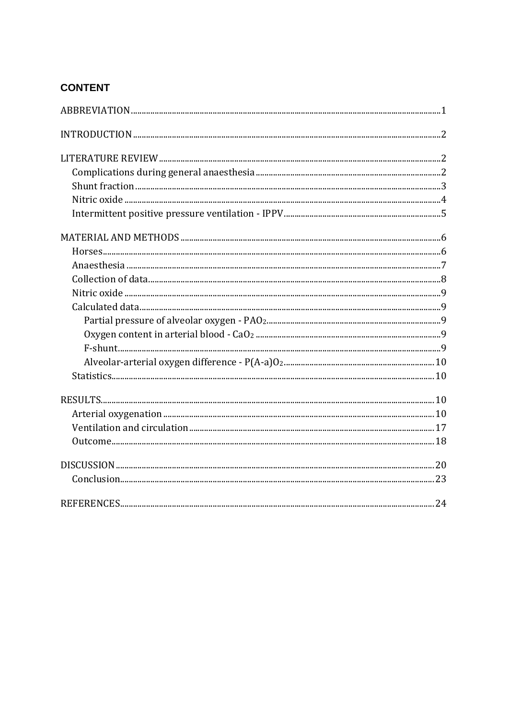# **CONTENT**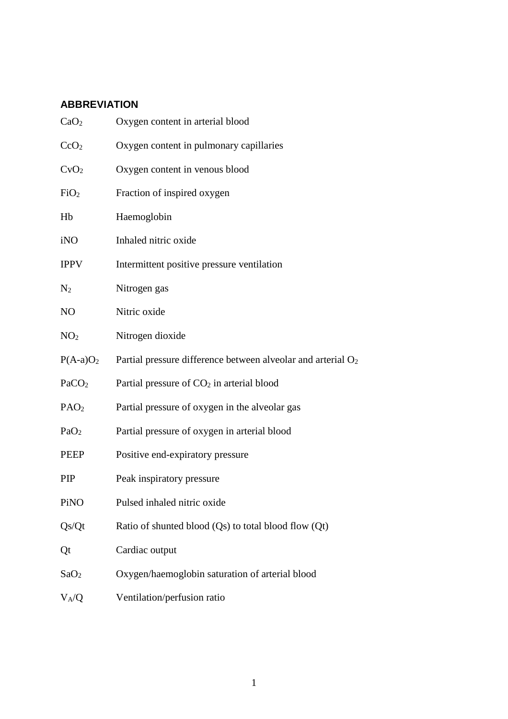# **ABBREVIATION**

| CaO <sub>2</sub>  | Oxygen content in arterial blood                                         |
|-------------------|--------------------------------------------------------------------------|
| CcO <sub>2</sub>  | Oxygen content in pulmonary capillaries                                  |
| CvO <sub>2</sub>  | Oxygen content in venous blood                                           |
| FiO <sub>2</sub>  | Fraction of inspired oxygen                                              |
| Hb                | Haemoglobin                                                              |
| iNO               | Inhaled nitric oxide                                                     |
| <b>IPPV</b>       | Intermittent positive pressure ventilation                               |
| $\rm N_2$         | Nitrogen gas                                                             |
| NO                | Nitric oxide                                                             |
| NO <sub>2</sub>   | Nitrogen dioxide                                                         |
| $P(A-a)O2$        | Partial pressure difference between alveolar and arterial O <sub>2</sub> |
| PaCO <sub>2</sub> | Partial pressure of CO <sub>2</sub> in arterial blood                    |
| PAO <sub>2</sub>  | Partial pressure of oxygen in the alveolar gas                           |
| PaO <sub>2</sub>  | Partial pressure of oxygen in arterial blood                             |
| PEEP              | Positive end-expiratory pressure                                         |
| PIP               | Peak inspiratory pressure                                                |
| PiNO              | Pulsed inhaled nitric oxide                                              |
| Qs/Qt             | Ratio of shunted blood $(Qs)$ to total blood flow $(Qt)$                 |
| Qt                | Cardiac output                                                           |
| SaO <sub>2</sub>  | Oxygen/haemoglobin saturation of arterial blood                          |
| $V_A/Q$           | Ventilation/perfusion ratio                                              |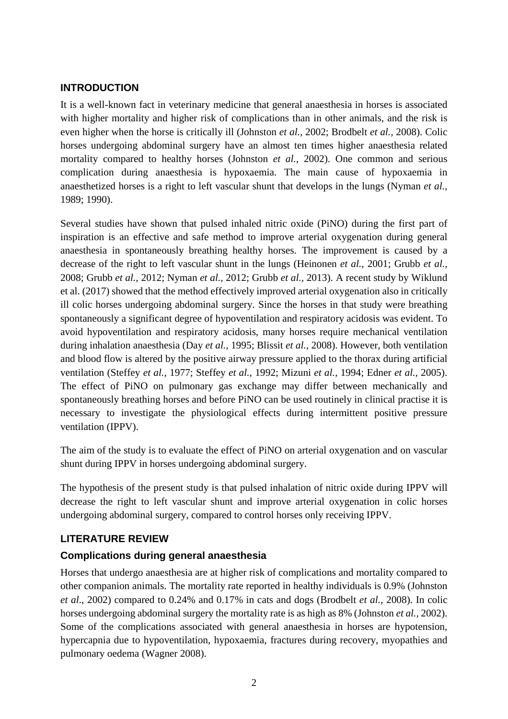# **INTRODUCTION**

It is a well-known fact in veterinary medicine that general anaesthesia in horses is associated with higher mortality and higher risk of complications than in other animals, and the risk is even higher when the horse is critically ill (Johnston *et al.,* 2002; Brodbelt *et al.,* 2008). Colic horses undergoing abdominal surgery have an almost ten times higher anaesthesia related mortality compared to healthy horses (Johnston *et al.,* 2002). One common and serious complication during anaesthesia is hypoxaemia. The main cause of hypoxaemia in anaesthetized horses is a right to left vascular shunt that develops in the lungs (Nyman *et al.,*  1989; 1990).

Several studies have shown that pulsed inhaled nitric oxide (PiNO) during the first part of inspiration is an effective and safe method to improve arterial oxygenation during general anaesthesia in spontaneously breathing healthy horses. The improvement is caused by a decrease of the right to left vascular shunt in the lungs (Heinonen *et al.,* 2001; Grubb *et al.,*  2008; Grubb *et al.,* 2012; Nyman *et al.,* 2012; Grubb *et al.,* 2013). A recent study by Wiklund et al. (2017) showed that the method effectively improved arterial oxygenation also in critically ill colic horses undergoing abdominal surgery. Since the horses in that study were breathing spontaneously a significant degree of hypoventilation and respiratory acidosis was evident. To avoid hypoventilation and respiratory acidosis, many horses require mechanical ventilation during inhalation anaesthesia (Day *et al.,* 1995; Blissit *et al.,* 2008). However, both ventilation and blood flow is altered by the positive airway pressure applied to the thorax during artificial ventilation (Steffey *et al.,* 1977; Steffey *et al.,* 1992; Mizuni *et al.,* 1994; Edner *et al.,* 2005). The effect of PiNO on pulmonary gas exchange may differ between mechanically and spontaneously breathing horses and before PiNO can be used routinely in clinical practise it is necessary to investigate the physiological effects during intermittent positive pressure ventilation (IPPV).

The aim of the study is to evaluate the effect of PiNO on arterial oxygenation and on vascular shunt during IPPV in horses undergoing abdominal surgery.

The hypothesis of the present study is that pulsed inhalation of nitric oxide during IPPV will decrease the right to left vascular shunt and improve arterial oxygenation in colic horses undergoing abdominal surgery, compared to control horses only receiving IPPV.

#### **LITERATURE REVIEW**

#### **Complications during general anaesthesia**

Horses that undergo anaesthesia are at higher risk of complications and mortality compared to other companion animals. The mortality rate reported in healthy individuals is 0.9% (Johnston *et al*., 2002) compared to 0.24% and 0.17% in cats and dogs (Brodbelt *et al.,* 2008). In colic horses undergoing abdominal surgery the mortality rate is as high as 8% (Johnston *et al.,* 2002). Some of the complications associated with general anaesthesia in horses are hypotension, hypercapnia due to hypoventilation, hypoxaemia, fractures during recovery, myopathies and pulmonary oedema (Wagner 2008).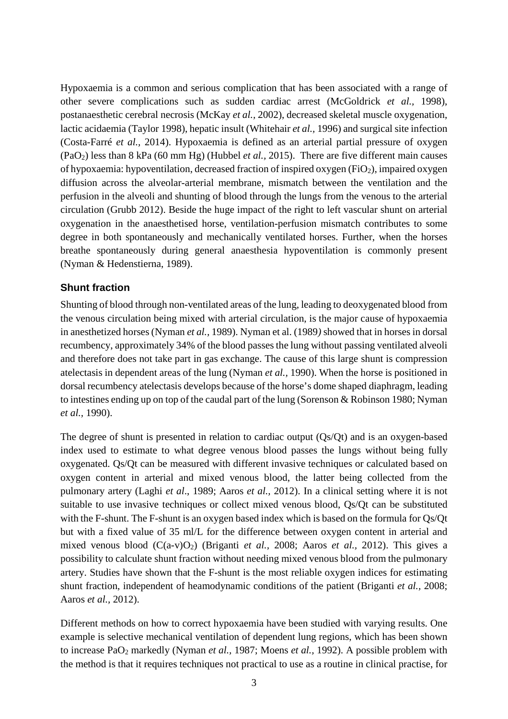Hypoxaemia is a common and serious complication that has been associated with a range of other severe complications such as sudden cardiac arrest (McGoldrick *et al.,* 1998), postanaesthetic cerebral necrosis (McKay *et al.,* 2002), decreased skeletal muscle oxygenation, lactic acidaemia (Taylor 1998), hepatic insult (Whitehair *et al.,* 1996) and surgical site infection (Costa-Farré *et al.,* 2014). Hypoxaemia is defined as an arterial partial pressure of oxygen (PaO2) less than 8 kPa (60 mm Hg) (Hubbel *et al.,* 2015). There are five different main causes of hypoxaemia: hypoventilation, decreased fraction of inspired oxygen (FiO2), impaired oxygen diffusion across the alveolar-arterial membrane, mismatch between the ventilation and the perfusion in the alveoli and shunting of blood through the lungs from the venous to the arterial circulation (Grubb 2012). Beside the huge impact of the right to left vascular shunt on arterial oxygenation in the anaesthetised horse, ventilation-perfusion mismatch contributes to some degree in both spontaneously and mechanically ventilated horses. Further, when the horses breathe spontaneously during general anaesthesia hypoventilation is commonly present (Nyman & Hedenstierna, 1989).

#### **Shunt fraction**

Shunting of blood through non-ventilated areas of the lung, leading to deoxygenated blood from the venous circulation being mixed with arterial circulation, is the major cause of hypoxaemia in anesthetized horses (Nyman *et al.,* 1989). Nyman et al. (1989*)* showed that in horses in dorsal recumbency, approximately 34% of the blood passes the lung without passing ventilated alveoli and therefore does not take part in gas exchange. The cause of this large shunt is compression atelectasis in dependent areas of the lung (Nyman *et al.,* 1990). When the horse is positioned in dorsal recumbency atelectasis develops because of the horse's dome shaped diaphragm, leading to intestines ending up on top of the caudal part of the lung (Sorenson & Robinson 1980; Nyman *et al.,* 1990).

The degree of shunt is presented in relation to cardiac output (Qs/Qt) and is an oxygen-based index used to estimate to what degree venous blood passes the lungs without being fully oxygenated. Qs/Qt can be measured with different invasive techniques or calculated based on oxygen content in arterial and mixed venous blood, the latter being collected from the pulmonary artery (Laghi *et al*., 1989; Aaros *et al.,* 2012). In a clinical setting where it is not suitable to use invasive techniques or collect mixed venous blood, Qs/Qt can be substituted with the F-shunt. The F-shunt is an oxygen based index which is based on the formula for Qs/Qt but with a fixed value of 35 ml/L for the difference between oxygen content in arterial and mixed venous blood (C(a-v)O2) (Briganti *et al.,* 2008; Aaros *et al.,* 2012). This gives a possibility to calculate shunt fraction without needing mixed venous blood from the pulmonary artery. Studies have shown that the F-shunt is the most reliable oxygen indices for estimating shunt fraction, independent of heamodynamic conditions of the patient (Briganti *et al.,* 2008; Aaros *et al.,* 2012).

Different methods on how to correct hypoxaemia have been studied with varying results. One example is selective mechanical ventilation of dependent lung regions, which has been shown to increase PaO2 markedly (Nyman *et al.,* 1987; Moens *et al.,* 1992). A possible problem with the method is that it requires techniques not practical to use as a routine in clinical practise, for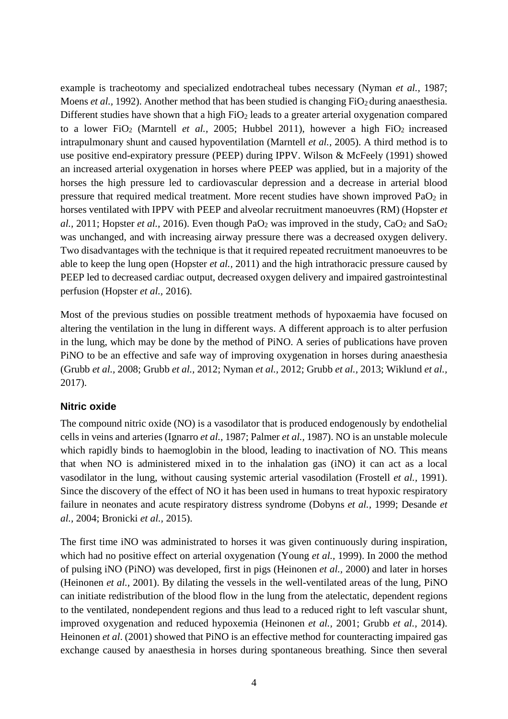example is tracheotomy and specialized endotracheal tubes necessary (Nyman *et al.,* 1987; Moens *et al.*, 1992). Another method that has been studied is changing FiO<sub>2</sub> during anaesthesia. Different studies have shown that a high  $FiO<sub>2</sub>$  leads to a greater arterial oxygenation compared to a lower FiO<sub>2</sub> (Marntell *et al.*, 2005; Hubbel 2011), however a high FiO<sub>2</sub> increased intrapulmonary shunt and caused hypoventilation (Marntell *et al.,* 2005). A third method is to use positive end-expiratory pressure (PEEP) during IPPV. Wilson & McFeely (1991) showed an increased arterial oxygenation in horses where PEEP was applied, but in a majority of the horses the high pressure led to cardiovascular depression and a decrease in arterial blood pressure that required medical treatment. More recent studies have shown improved  $PaO<sub>2</sub>$  in horses ventilated with IPPV with PEEP and alveolar recruitment manoeuvres (RM) (Hopster *et al.,* 2011; Hopster *et al.,* 2016). Even though  $PaO<sub>2</sub>$  was improved in the study,  $CaO<sub>2</sub>$  and  $SaO<sub>2</sub>$ was unchanged, and with increasing airway pressure there was a decreased oxygen delivery. Two disadvantages with the technique is that it required repeated recruitment manoeuvres to be able to keep the lung open (Hopster *et al.,* 2011) and the high intrathoracic pressure caused by PEEP led to decreased cardiac output, decreased oxygen delivery and impaired gastrointestinal perfusion (Hopster *et al.,* 2016).

Most of the previous studies on possible treatment methods of hypoxaemia have focused on altering the ventilation in the lung in different ways. A different approach is to alter perfusion in the lung, which may be done by the method of PiNO. A series of publications have proven PiNO to be an effective and safe way of improving oxygenation in horses during anaesthesia (Grubb *et al.,* 2008; Grubb *et al.,* 2012; Nyman *et al.,* 2012; Grubb *et al.,* 2013; Wiklund *et al.,* 2017).

# **Nitric oxide**

The compound nitric oxide (NO) is a vasodilator that is produced endogenously by endothelial cells in veins and arteries (Ignarro *et al.,* 1987; Palmer *et al.,* 1987). NO is an unstable molecule which rapidly binds to haemoglobin in the blood, leading to inactivation of NO. This means that when NO is administered mixed in to the inhalation gas (iNO) it can act as a local vasodilator in the lung, without causing systemic arterial vasodilation (Frostell *et al.,* 1991). Since the discovery of the effect of NO it has been used in humans to treat hypoxic respiratory failure in neonates and acute respiratory distress syndrome (Dobyns *et al.,* 1999; Desande *et al.,* 2004; Bronicki *et al.,* 2015).

The first time iNO was administrated to horses it was given continuously during inspiration, which had no positive effect on arterial oxygenation (Young *et al.,* 1999). In 2000 the method of pulsing iNO (PiNO) was developed, first in pigs (Heinonen *et al.,* 2000) and later in horses (Heinonen *et al.,* 2001). By dilating the vessels in the well-ventilated areas of the lung, PiNO can initiate redistribution of the blood flow in the lung from the atelectatic, dependent regions to the ventilated, nondependent regions and thus lead to a reduced right to left vascular shunt, improved oxygenation and reduced hypoxemia (Heinonen *et al.,* 2001; Grubb *et al.,* 2014). Heinonen *et al*. (2001) showed that PiNO is an effective method for counteracting impaired gas exchange caused by anaesthesia in horses during spontaneous breathing. Since then several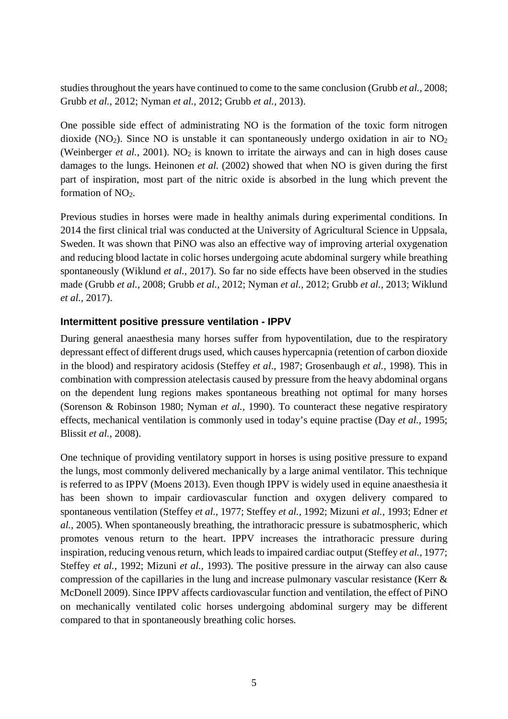studies throughout the years have continued to come to the same conclusion (Grubb *et al.,* 2008; Grubb *et al.,* 2012; Nyman *et al.,* 2012; Grubb *et al.,* 2013).

One possible side effect of administrating NO is the formation of the toxic form nitrogen dioxide (NO<sub>2</sub>). Since NO is unstable it can spontaneously undergo oxidation in air to  $NO<sub>2</sub>$ (Weinberger *et al.*, 2001). NO<sub>2</sub> is known to irritate the airways and can in high doses cause damages to the lungs. Heinonen *et al.* (2002) showed that when NO is given during the first part of inspiration, most part of the nitric oxide is absorbed in the lung which prevent the formation of  $NO<sub>2</sub>$ .

Previous studies in horses were made in healthy animals during experimental conditions. In 2014 the first clinical trial was conducted at the University of Agricultural Science in Uppsala, Sweden. It was shown that PiNO was also an effective way of improving arterial oxygenation and reducing blood lactate in colic horses undergoing acute abdominal surgery while breathing spontaneously (Wiklund *et al.,* 2017). So far no side effects have been observed in the studies made (Grubb *et al.,* 2008; Grubb *et al.,* 2012; Nyman *et al.,* 2012; Grubb *et al.,* 2013; Wiklund *et al.,* 2017).

## **Intermittent positive pressure ventilation - IPPV**

During general anaesthesia many horses suffer from hypoventilation, due to the respiratory depressant effect of different drugs used, which causes hypercapnia (retention of carbon dioxide in the blood) and respiratory acidosis (Steffey *et al*., 1987; Grosenbaugh *et al.,* 1998). This in combination with compression atelectasis caused by pressure from the heavy abdominal organs on the dependent lung regions makes spontaneous breathing not optimal for many horses (Sorenson & Robinson 1980; Nyman *et al.,* 1990). To counteract these negative respiratory effects, mechanical ventilation is commonly used in today's equine practise (Day *et al.,* 1995; Blissit *et al.,* 2008).

One technique of providing ventilatory support in horses is using positive pressure to expand the lungs, most commonly delivered mechanically by a large animal ventilator. This technique is referred to as IPPV (Moens 2013). Even though IPPV is widely used in equine anaesthesia it has been shown to impair cardiovascular function and oxygen delivery compared to spontaneous ventilation (Steffey *et al.,* 1977; Steffey *et al.,* 1992; Mizuni *et al.,* 1993; Edner *et al.,* 2005). When spontaneously breathing, the intrathoracic pressure is subatmospheric, which promotes venous return to the heart. IPPV increases the intrathoracic pressure during inspiration, reducing venous return, which leads to impaired cardiac output (Steffey *et al.,* 1977; Steffey *et al.,* 1992; Mizuni *et al.,* 1993). The positive pressure in the airway can also cause compression of the capillaries in the lung and increase pulmonary vascular resistance (Kerr & McDonell 2009). Since IPPV affects cardiovascular function and ventilation, the effect of PiNO on mechanically ventilated colic horses undergoing abdominal surgery may be different compared to that in spontaneously breathing colic horses.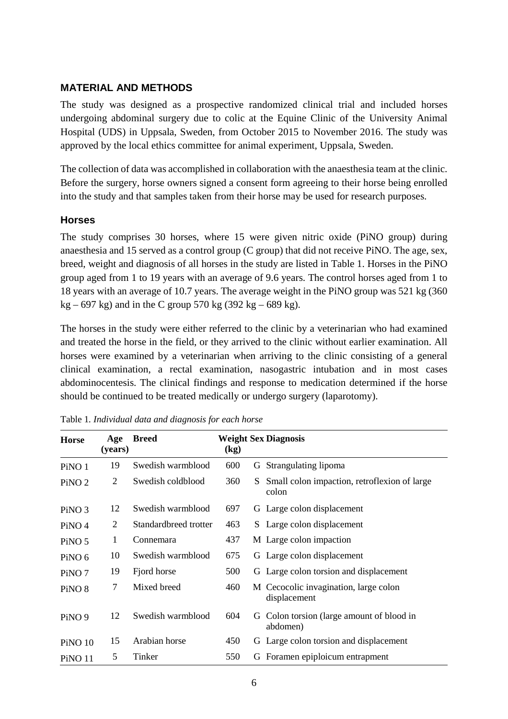## **MATERIAL AND METHODS**

The study was designed as a prospective randomized clinical trial and included horses undergoing abdominal surgery due to colic at the Equine Clinic of the University Animal Hospital (UDS) in Uppsala, Sweden, from October 2015 to November 2016. The study was approved by the local ethics committee for animal experiment, Uppsala, Sweden.

The collection of data was accomplished in collaboration with the anaesthesia team at the clinic. Before the surgery, horse owners signed a consent form agreeing to their horse being enrolled into the study and that samples taken from their horse may be used for research purposes.

## **Horses**

The study comprises 30 horses, where 15 were given nitric oxide (PiNO group) during anaesthesia and 15 served as a control group (C group) that did not receive PiNO. The age, sex, breed, weight and diagnosis of all horses in the study are listed in Table 1. Horses in the PiNO group aged from 1 to 19 years with an average of 9.6 years. The control horses aged from 1 to 18 years with an average of 10.7 years. The average weight in the PiNO group was 521 kg (360  $kg - 697 kg$ ) and in the C group 570 kg (392 kg – 689 kg).

The horses in the study were either referred to the clinic by a veterinarian who had examined and treated the horse in the field, or they arrived to the clinic without earlier examination. All horses were examined by a veterinarian when arriving to the clinic consisting of a general clinical examination, a rectal examination, nasogastric intubation and in most cases abdominocentesis. The clinical findings and response to medication determined if the horse should be continued to be treated medically or undergo surgery (laparotomy).

| <b>Horse</b>      | Age<br>(years) | <b>Breed</b>          | $\left(\text{kg}\right)$ |    | <b>Weight Sex Diagnosis</b>                           |
|-------------------|----------------|-----------------------|--------------------------|----|-------------------------------------------------------|
| PiNO <sub>1</sub> | 19             | Swedish warmblood     | 600                      |    | G Strangulating lipoma                                |
| PiNO <sub>2</sub> | 2              | Swedish coldblood     | 360                      | S. | Small colon impaction, retroflexion of large<br>colon |
| PiNO <sub>3</sub> | 12             | Swedish warmblood     | 697                      |    | G Large colon displacement                            |
| PiNO <sub>4</sub> | 2              | Standardbreed trotter | 463                      |    | S Large colon displacement                            |
| PiNO <sub>5</sub> | 1              | Connemara             | 437                      |    | M Large colon impaction                               |
| PiNO <sub>6</sub> | 10             | Swedish warmblood     | 675                      |    | G Large colon displacement                            |
| PiNO <sub>7</sub> | 19             | Fjord horse           | 500                      |    | G Large colon torsion and displacement                |
| PiNO <sub>8</sub> | 7              | Mixed breed           | 460                      |    | M Cecocolic invagination, large colon<br>displacement |
| PiNO <sub>9</sub> | 12             | Swedish warmblood     | 604                      | G  | Colon torsion (large amount of blood in<br>abdomen)   |
| <b>PiNO 10</b>    | 15             | Arabian horse         | 450                      |    | G Large colon torsion and displacement                |
| <b>PiNO 11</b>    | 5              | Tinker                | 550                      | G  | Foramen epiploicum entrapment                         |

Table 1*. Individual data and diagnosis for each horse*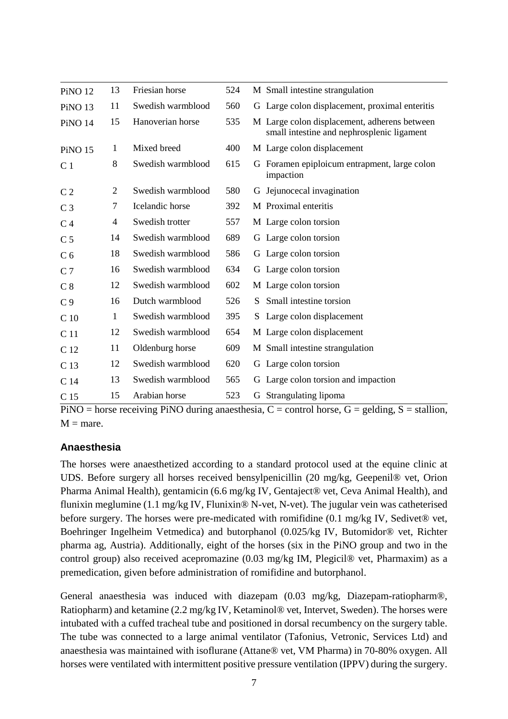| <b>PiNO 12</b>     | 13             | Friesian horse    | 524 | M Small intestine strangulation                                                            |
|--------------------|----------------|-------------------|-----|--------------------------------------------------------------------------------------------|
| PiNO <sub>13</sub> | 11             | Swedish warmblood | 560 | G Large colon displacement, proximal enteritis                                             |
| PiNO 14            | 15             | Hanoverian horse  | 535 | M Large colon displacement, adherens between<br>small intestine and nephrosplenic ligament |
| <b>PiNO 15</b>     | $\mathbf{1}$   | Mixed breed       | 400 | M Large colon displacement                                                                 |
| C <sub>1</sub>     | 8              | Swedish warmblood | 615 | Foramen epiploicum entrapment, large colon<br>G<br>impaction                               |
| C <sub>2</sub>     | $\overline{2}$ | Swedish warmblood | 580 | G Jejunocecal invagination                                                                 |
| C <sub>3</sub>     | $\tau$         | Icelandic horse   | 392 | M Proximal enteritis                                                                       |
| C <sub>4</sub>     | 4              | Swedish trotter   | 557 | M Large colon torsion                                                                      |
| C <sub>5</sub>     | 14             | Swedish warmblood | 689 | G Large colon torsion                                                                      |
| C <sub>6</sub>     | 18             | Swedish warmblood | 586 | G Large colon torsion                                                                      |
| C <sub>7</sub>     | 16             | Swedish warmblood | 634 | G Large colon torsion                                                                      |
| C <sub>8</sub>     | 12             | Swedish warmblood | 602 | M Large colon torsion                                                                      |
| C <sub>9</sub>     | 16             | Dutch warmblood   | 526 | Small intestine torsion<br>S.                                                              |
| C <sub>10</sub>    | $\mathbf{1}$   | Swedish warmblood | 395 | Large colon displacement<br>S.                                                             |
| C <sub>11</sub>    | 12             | Swedish warmblood | 654 | M Large colon displacement                                                                 |
| C 12               | 11             | Oldenburg horse   | 609 | M Small intestine strangulation                                                            |
| C 13               | 12             | Swedish warmblood | 620 | G Large colon torsion                                                                      |
| C <sub>14</sub>    | 13             | Swedish warmblood | 565 | G Large colon torsion and impaction                                                        |
| C <sub>15</sub>    | 15             | Arabian horse     | 523 | G Strangulating lipoma                                                                     |

 $PiNO =$  horse receiving PiNO during anaesthesia,  $C =$  control horse,  $G =$  gelding,  $S =$  stallion,  $M =$  mare.

# **Anaesthesia**

The horses were anaesthetized according to a standard protocol used at the equine clinic at UDS. Before surgery all horses received bensylpenicillin (20 mg/kg, Geepenil® vet, Orion Pharma Animal Health), gentamicin (6.6 mg/kg IV, Gentaject® vet, Ceva Animal Health), and flunixin meglumine (1.1 mg/kg IV, Flunixin® N-vet, N-vet). The jugular vein was catheterised before surgery. The horses were pre-medicated with romifidine (0.1 mg/kg IV, Sedivet® vet, Boehringer Ingelheim Vetmedica) and butorphanol (0.025/kg IV, Butomidor® vet, Richter pharma ag, Austria). Additionally, eight of the horses (six in the PiNO group and two in the control group) also received acepromazine (0.03 mg/kg IM, Plegicil® vet, Pharmaxim) as a premedication, given before administration of romifidine and butorphanol.

General anaesthesia was induced with diazepam (0.03 mg/kg, Diazepam-ratiopharm®, Ratiopharm) and ketamine (2.2 mg/kg IV, Ketaminol® vet, Intervet, Sweden). The horses were intubated with a cuffed tracheal tube and positioned in dorsal recumbency on the surgery table. The tube was connected to a large animal ventilator (Tafonius, Vetronic, Services Ltd) and anaesthesia was maintained with isoflurane (Attane® vet, VM Pharma) in 70-80% oxygen. All horses were ventilated with intermittent positive pressure ventilation (IPPV) during the surgery.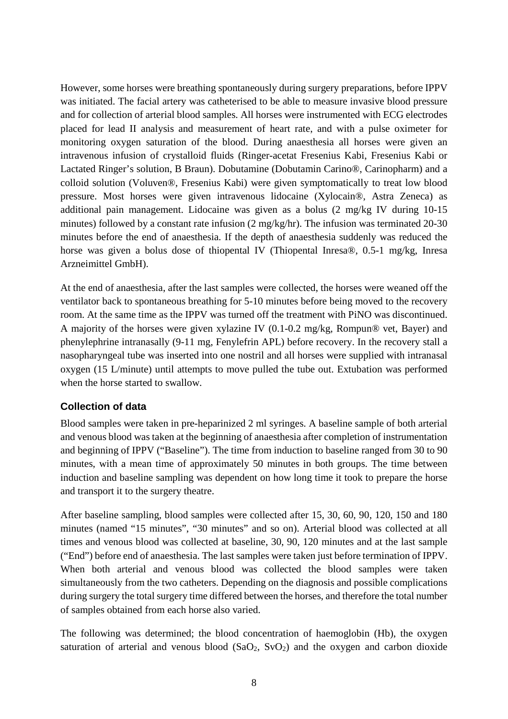However, some horses were breathing spontaneously during surgery preparations, before IPPV was initiated. The facial artery was catheterised to be able to measure invasive blood pressure and for collection of arterial blood samples. All horses were instrumented with ECG electrodes placed for lead II analysis and measurement of heart rate, and with a pulse oximeter for monitoring oxygen saturation of the blood. During anaesthesia all horses were given an intravenous infusion of crystalloid fluids (Ringer-acetat Fresenius Kabi, Fresenius Kabi or Lactated Ringer's solution, B Braun). Dobutamine (Dobutamin Carino®, Carinopharm) and a colloid solution (Voluven®, Fresenius Kabi) were given symptomatically to treat low blood pressure. Most horses were given intravenous lidocaine (Xylocain®, Astra Zeneca) as additional pain management. Lidocaine was given as a bolus (2 mg/kg IV during 10-15 minutes) followed by a constant rate infusion (2 mg/kg/hr). The infusion was terminated 20-30 minutes before the end of anaesthesia. If the depth of anaesthesia suddenly was reduced the horse was given a bolus dose of thiopental IV (Thiopental Inresa®, 0.5-1 mg/kg, Inresa Arzneimittel GmbH).

At the end of anaesthesia, after the last samples were collected, the horses were weaned off the ventilator back to spontaneous breathing for 5-10 minutes before being moved to the recovery room. At the same time as the IPPV was turned off the treatment with PiNO was discontinued. A majority of the horses were given xylazine IV (0.1-0.2 mg/kg, Rompun® vet, Bayer) and phenylephrine intranasally (9-11 mg, Fenylefrin APL) before recovery. In the recovery stall a nasopharyngeal tube was inserted into one nostril and all horses were supplied with intranasal oxygen (15 L/minute) until attempts to move pulled the tube out. Extubation was performed when the horse started to swallow.

# **Collection of data**

Blood samples were taken in pre-heparinized 2 ml syringes. A baseline sample of both arterial and venous blood was taken at the beginning of anaesthesia after completion of instrumentation and beginning of IPPV ("Baseline"). The time from induction to baseline ranged from 30 to 90 minutes, with a mean time of approximately 50 minutes in both groups. The time between induction and baseline sampling was dependent on how long time it took to prepare the horse and transport it to the surgery theatre.

After baseline sampling*,* blood samples were collected after 15, 30, 60, 90, 120, 150 and 180 minutes (named "15 minutes", "30 minutes" and so on). Arterial blood was collected at all times and venous blood was collected at baseline, 30, 90, 120 minutes and at the last sample ("End") before end of anaesthesia. The last samples were taken just before termination of IPPV. When both arterial and venous blood was collected the blood samples were taken simultaneously from the two catheters. Depending on the diagnosis and possible complications during surgery the total surgery time differed between the horses, and therefore the total number of samples obtained from each horse also varied.

The following was determined; the blood concentration of haemoglobin (Hb), the oxygen saturation of arterial and venous blood  $(SaO<sub>2</sub>, SvO<sub>2</sub>)$  and the oxygen and carbon dioxide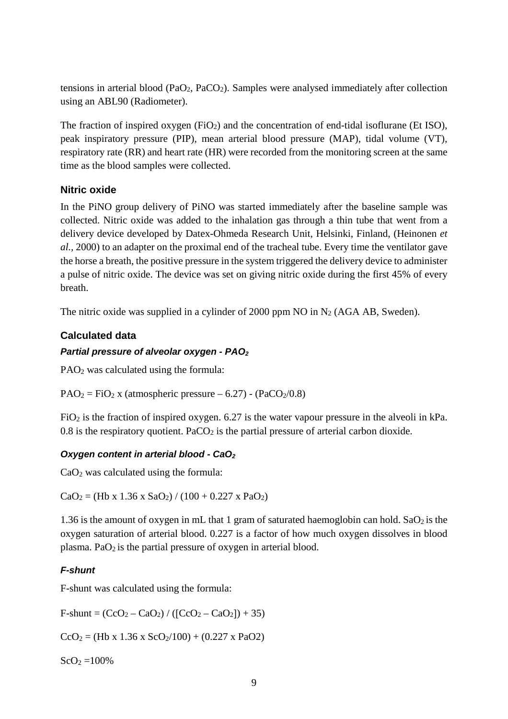tensions in arterial blood (PaO2, PaCO2). Samples were analysed immediately after collection using an ABL90 (Radiometer).

The fraction of inspired oxygen  $(FiO_2)$  and the concentration of end-tidal isoflurane (Et ISO), peak inspiratory pressure (PIP), mean arterial blood pressure (MAP), tidal volume (VT), respiratory rate (RR) and heart rate (HR) were recorded from the monitoring screen at the same time as the blood samples were collected.

# **Nitric oxide**

In the PiNO group delivery of PiNO was started immediately after the baseline sample was collected. Nitric oxide was added to the inhalation gas through a thin tube that went from a delivery device developed by Datex-Ohmeda Research Unit, Helsinki, Finland, (Heinonen *et al.,* 2000) to an adapter on the proximal end of the tracheal tube. Every time the ventilator gave the horse a breath, the positive pressure in the system triggered the delivery device to administer a pulse of nitric oxide. The device was set on giving nitric oxide during the first 45% of every breath.

The nitric oxide was supplied in a cylinder of 2000 ppm NO in  $N_2$  (AGA AB, Sweden).

# **Calculated data**

# *Partial pressure of alveolar oxygen - PAO2*

PAO2 was calculated using the formula:

 $PAO<sub>2</sub> = FiO<sub>2</sub>$  x (atmospheric pressure – 6.27) - (PaCO<sub>2</sub>/0.8)

 $FiO<sub>2</sub>$  is the fraction of inspired oxygen. 6.27 is the water vapour pressure in the alveoli in kPa.  $0.8$  is the respiratory quotient. PaCO<sub>2</sub> is the partial pressure of arterial carbon dioxide.

# *Oxygen content in arterial blood - CaO2*

 $CaO<sub>2</sub>$  was calculated using the formula:

 $CaO<sub>2</sub> = (Hb x 1.36 x SaO<sub>2</sub>) / (100 + 0.227 x PaO<sub>2</sub>)$ 

1.36 is the amount of oxygen in mL that 1 gram of saturated haemoglobin can hold.  $SaO<sub>2</sub>$  is the oxygen saturation of arterial blood. 0.227 is a factor of how much oxygen dissolves in blood plasma. Pa $O_2$  is the partial pressure of oxygen in arterial blood.

#### *F-shunt*

F-shunt was calculated using the formula:

 $F\text{-}shunt = (CcO_2 - CaO_2) / ([CcO_2 - CaO_2]) + 35)$ 

 $CcO<sub>2</sub> = (Hb x 1.36 x ScO<sub>2</sub>/100) + (0.227 x PaO2)$ 

 $ScO<sub>2</sub> = 100%$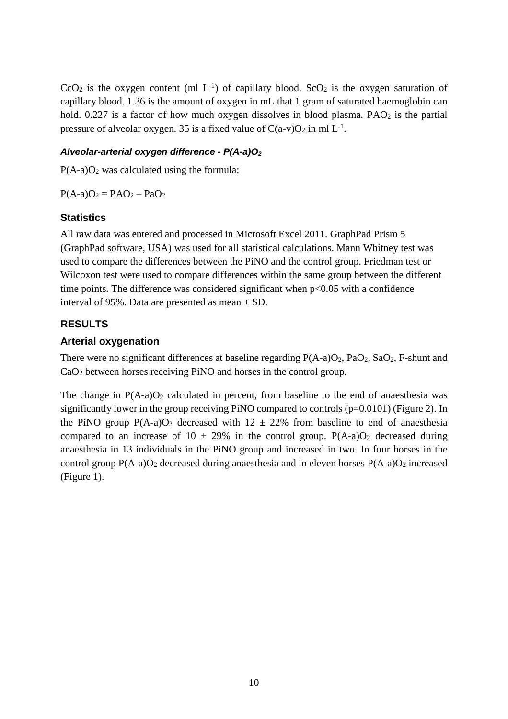$CcO<sub>2</sub>$  is the oxygen content (ml  $L^{-1}$ ) of capillary blood. ScO<sub>2</sub> is the oxygen saturation of capillary blood. 1.36 is the amount of oxygen in mL that 1 gram of saturated haemoglobin can hold.  $0.227$  is a factor of how much oxygen dissolves in blood plasma. PAO<sub>2</sub> is the partial pressure of alveolar oxygen. 35 is a fixed value of  $C(a-v)O_2$  in ml  $L^{-1}$ .

### *Alveolar-arterial oxygen difference - P(A-a)O2*

 $P(A-a)O<sub>2</sub>$  was calculated using the formula:

 $P(A-a)O_2 = PAO_2 - PaO_2$ 

## **Statistics**

All raw data was entered and processed in Microsoft Excel 2011. GraphPad Prism 5 (GraphPad software, USA) was used for all statistical calculations. Mann Whitney test was used to compare the differences between the PiNO and the control group. Friedman test or Wilcoxon test were used to compare differences within the same group between the different time points. The difference was considered significant when  $p<0.05$  with a confidence interval of 95%. Data are presented as mean  $\pm$  SD.

# **RESULTS**

## **Arterial oxygenation**

There were no significant differences at baseline regarding  $P(A-a)O_2$ ,  $PaO_2$ ,  $SaO_2$ ,  $F$ -shunt and CaO2 between horses receiving PiNO and horses in the control group.

The change in  $P(A-a)O_2$  calculated in percent, from baseline to the end of anaesthesia was significantly lower in the group receiving PiNO compared to controls (p=0.0101) (Figure 2). In the PiNO group  $P(A-a)O_2$  decreased with  $12 \pm 22\%$  from baseline to end of anaesthesia compared to an increase of  $10 \pm 29\%$  in the control group. P(A-a)O<sub>2</sub> decreased during anaesthesia in 13 individuals in the PiNO group and increased in two. In four horses in the control group  $P(A-a)O_2$  decreased during anaesthesia and in eleven horses  $P(A-a)O_2$  increased (Figure 1).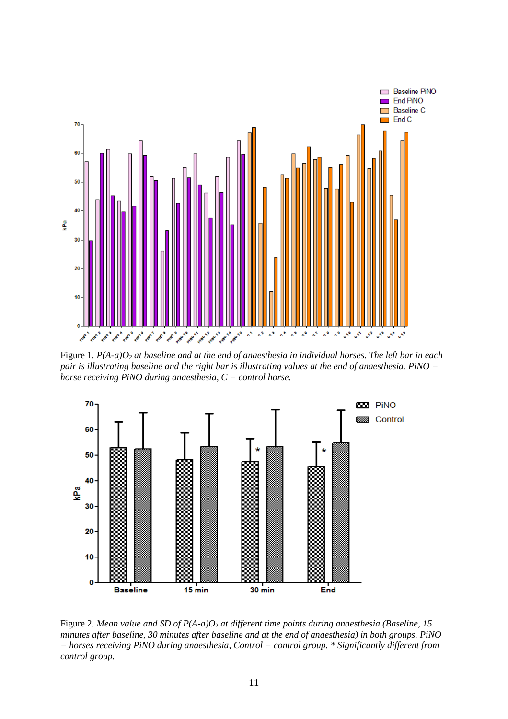

Figure 1. *P(A-a)O2 at baseline and at the end of anaesthesia in individual horses. The left bar in each pair is illustrating baseline and the right bar is illustrating values at the end of anaesthesia. PiNO = horse receiving PiNO during anaesthesia, C = control horse.*



Figure 2. *Mean value and SD of P(A-a)O*<sup>2</sup> *at different time points during anaesthesia (Baseline, 15 minutes after baseline, 30 minutes after baseline and at the end of anaesthesia) in both groups. PiNO = horses receiving PiNO during anaesthesia, Control = control group. \* Significantly different from control group.*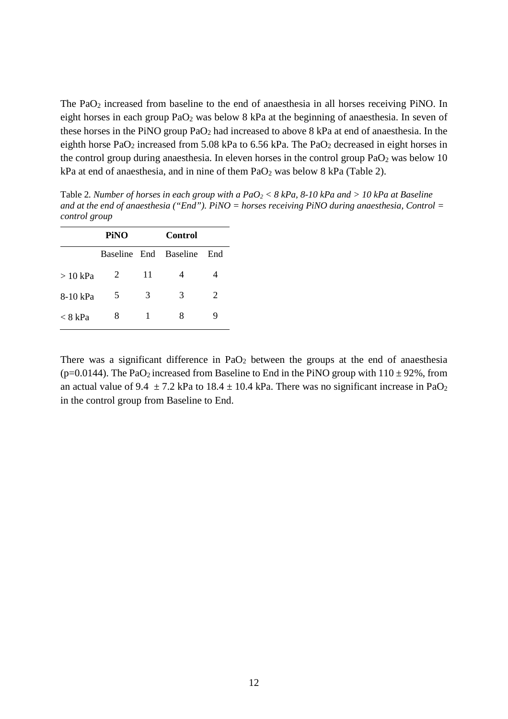The PaO2 increased from baseline to the end of anaesthesia in all horses receiving PiNO. In eight horses in each group PaO<sub>2</sub> was below 8 kPa at the beginning of anaesthesia. In seven of these horses in the PiNO group PaO2 had increased to above 8 kPa at end of anaesthesia. In the eighth horse PaO<sub>2</sub> increased from 5.08 kPa to 6.56 kPa. The PaO<sub>2</sub> decreased in eight horses in the control group during anaesthesia. In eleven horses in the control group  $PaO<sub>2</sub>$  was below 10  $kPa$  at end of anaesthesia, and in nine of them  $PaO<sub>2</sub>$  was below 8 kPa (Table 2).

Table 2*. Number of horses in each group with a PaO2 < 8 kPa, 8-10 kPa and > 10 kPa at Baseline and at the end of anaesthesia ("End"). PiNO = horses receiving PiNO during anaesthesia, Control = control group*

|           | PiNO |    | Control               |     |
|-----------|------|----|-----------------------|-----|
|           |      |    | Baseline End Baseline | End |
| $>10$ kPa | 2    | 11 | 4                     |     |
| 8-10 kPa  | 5    | 3  | 3                     | 2   |
| $< 8$ kPa | 8    | 1  | 8                     |     |

There was a significant difference in  $PaO<sub>2</sub>$  between the groups at the end of anaesthesia (p=0.0144). The PaO<sub>2</sub> increased from Baseline to End in the PiNO group with  $110 \pm 92\%$ , from an actual value of 9.4  $\pm$  7.2 kPa to 18.4  $\pm$  10.4 kPa. There was no significant increase in PaO<sub>2</sub> in the control group from Baseline to End.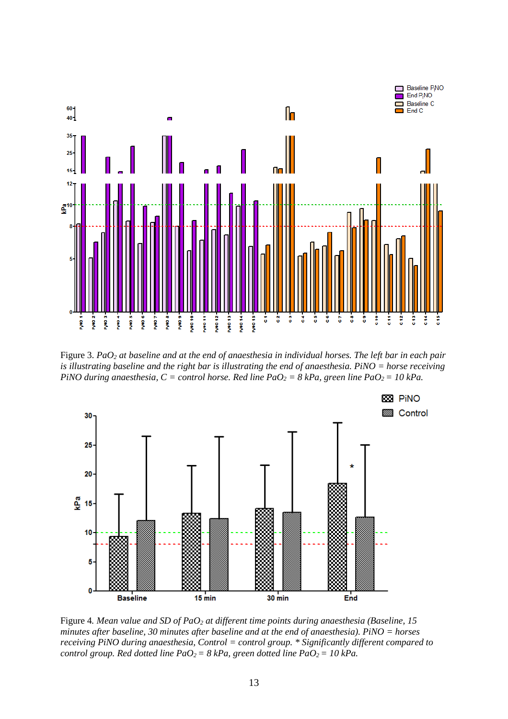

Figure 3. *PaO2 at baseline and at the end of anaesthesia in individual horses. The left bar in each pair is illustrating baseline and the right bar is illustrating the end of anaesthesia. PiNO = horse receiving PiNO during anaesthesia, C = control horse. Red line PaO2 = 8 kPa, green line PaO2= 10 kPa.*



Figure 4*. Mean value and SD of PaO2 at different time points during anaesthesia (Baseline, 15 minutes after baseline, 30 minutes after baseline and at the end of anaesthesia). PiNO = horses receiving PiNO during anaesthesia, Control = control group. \* Significantly different compared to control group. Red dotted line PaO<sub>2</sub> = 8 kPa, green dotted line PaO<sub>2</sub> = 10 kPa.*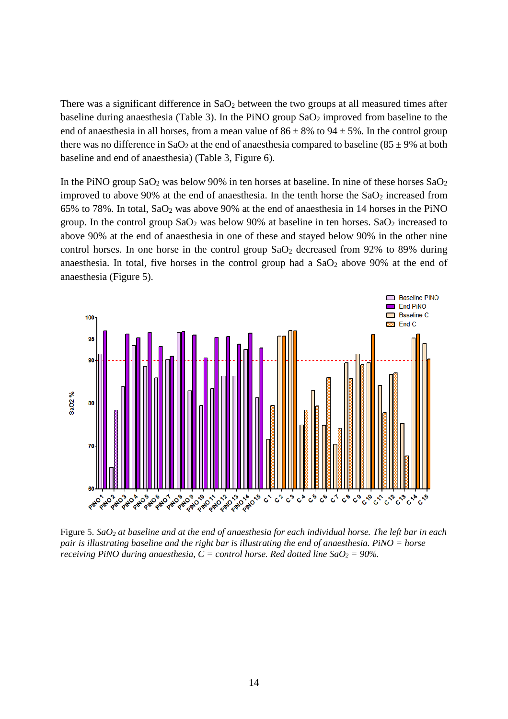There was a significant difference in  $SaO<sub>2</sub>$  between the two groups at all measured times after baseline during anaesthesia (Table 3). In the PiNO group  $SaO<sub>2</sub>$  improved from baseline to the end of anaesthesia in all horses, from a mean value of  $86 \pm 8\%$  to  $94 \pm 5\%$ . In the control group there was no difference in SaO<sub>2</sub> at the end of anaesthesia compared to baseline (85  $\pm$  9% at both baseline and end of anaesthesia) (Table 3, Figure 6).

In the PiNO group  $SaO_2$  was below 90% in ten horses at baseline. In nine of these horses  $SaO_2$ improved to above 90% at the end of anaesthesia. In the tenth horse the  $SaO<sub>2</sub>$  increased from 65% to 78%. In total, SaO2 was above 90% at the end of anaesthesia in 14 horses in the PiNO group. In the control group  $SaO_2$  was below 90% at baseline in ten horses.  $SaO_2$  increased to above 90% at the end of anaesthesia in one of these and stayed below 90% in the other nine control horses. In one horse in the control group  $SaO<sub>2</sub>$  decreased from 92% to 89% during anaesthesia. In total, five horses in the control group had a  $SaO<sub>2</sub>$  above 90% at the end of anaesthesia (Figure 5).



Figure 5. *SaO2 at baseline and at the end of anaesthesia for each individual horse. The left bar in each pair is illustrating baseline and the right bar is illustrating the end of anaesthesia. PiNO = horse receiving PiNO during anaesthesia, C = control horse. Red dotted line*  $SaO<sub>2</sub> = 90\%$ *.*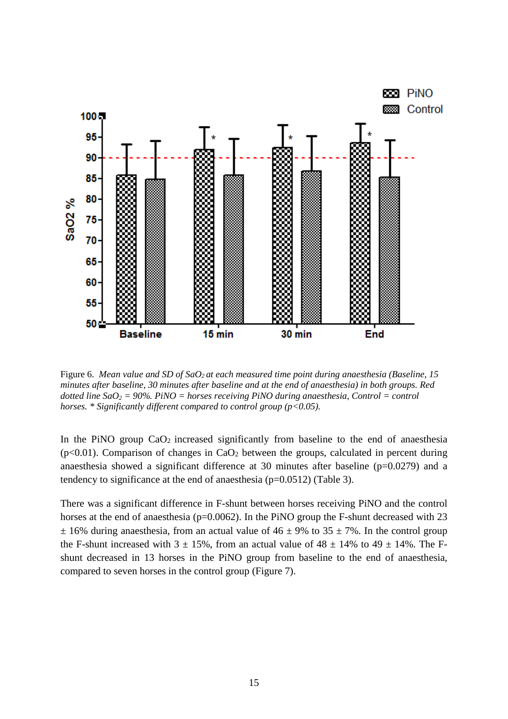

Figure 6. *Mean value and SD of SaO2 at each measured time point during anaesthesia (Baseline, 15 minutes after baseline, 30 minutes after baseline and at the end of anaesthesia) in both groups. Red dotted line SaO2 = 90%. PiNO = horses receiving PiNO during anaesthesia, Control = control horses. \* Significantly different compared to control group (p<0.05).*

In the PiNO group  $CaO<sub>2</sub>$  increased significantly from baseline to the end of anaesthesia  $(p<0.01)$ . Comparison of changes in CaO<sub>2</sub> between the groups, calculated in percent during anaesthesia showed a significant difference at 30 minutes after baseline  $(p=0.0279)$  and a tendency to significance at the end of anaesthesia (p=0.0512) (Table 3).

There was a significant difference in F-shunt between horses receiving PiNO and the control horses at the end of anaesthesia (p=0.0062). In the PiNO group the F-shunt decreased with 23  $\pm$  16% during anaesthesia, from an actual value of 46  $\pm$  9% to 35  $\pm$  7%. In the control group the F-shunt increased with  $3 \pm 15$ %, from an actual value of  $48 \pm 14$ % to  $49 \pm 14$ %. The Fshunt decreased in 13 horses in the PiNO group from baseline to the end of anaesthesia, compared to seven horses in the control group (Figure 7).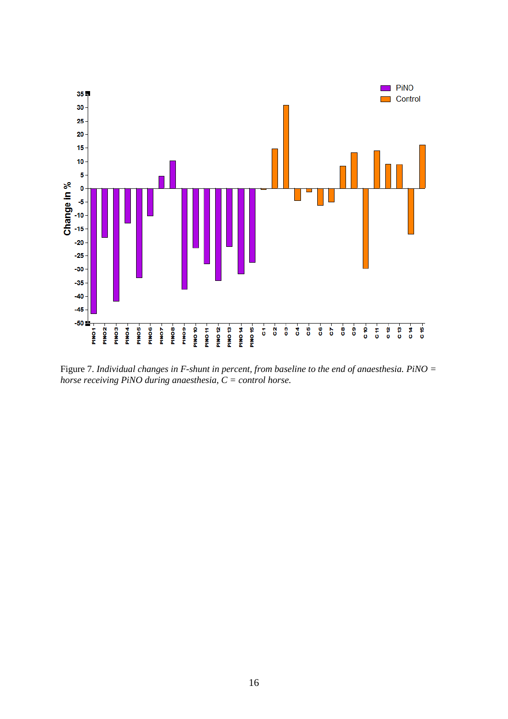

Figure 7. *Individual changes in F-shunt in percent, from baseline to the end of anaesthesia. PiNO = horse receiving PiNO during anaesthesia, C = control horse.*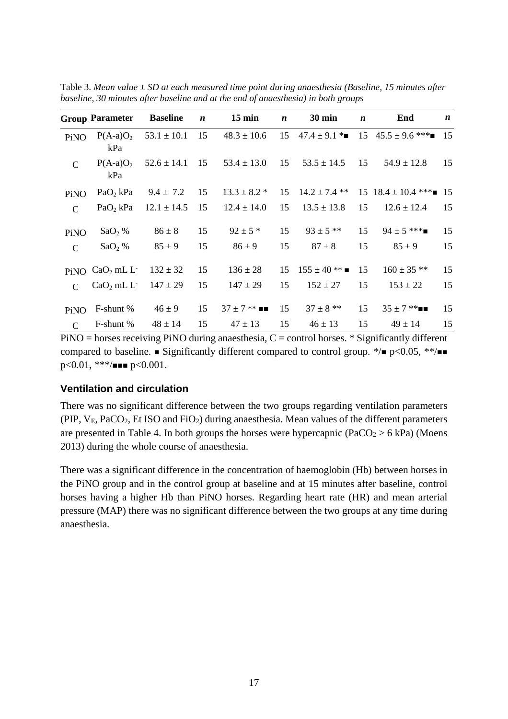|               | <b>Group Parameter</b>                  | <b>Baseline</b>    | $\boldsymbol{n}$ | $15 \text{ min}$                   | $\boldsymbol{n}$ | <b>30 min</b>        | $\boldsymbol{n}$ | End                                       | $\boldsymbol{n}$ |
|---------------|-----------------------------------------|--------------------|------------------|------------------------------------|------------------|----------------------|------------------|-------------------------------------------|------------------|
| PiNO          | $P(A-a)O_2$<br>kPa                      | $53.1 \pm 10.1$ 15 |                  | $48.3 \pm 10.6$                    |                  |                      |                  | 15 $47.4 \pm 9.1$ * 15 $45.5 \pm 9.6$ *** | 15               |
| $\mathcal{C}$ | $P(A-a)O_2$<br>kPa                      |                    |                  | $52.6 \pm 14.1$ 15 $53.4 \pm 13.0$ | 15               | $53.5 \pm 14.5$      | 15               | $54.9 \pm 12.8$                           | 15               |
| PiNO          | $PaO2$ kPa                              | $9.4 \pm 7.2$      | 15               | $13.3 \pm 8.2$ *                   |                  | 15 $14.2 \pm 7.4$ ** |                  | 15 $18.4 \pm 10.4$ ***                    | -15              |
| $\mathcal{C}$ | PaO <sub>2</sub> kPa                    | $12.1 \pm 14.5$ 15 |                  | $12.4 \pm 14.0$                    | 15               | $13.5 \pm 13.8$      | 15               | $12.6 \pm 12.4$                           | 15               |
| PiNO          | $SaO2$ %                                | $86 \pm 8$         | 15               | $92 \pm 5$ *                       | 15               | $93 \pm 5$ **        | 15               | $94 \pm 5$ ***                            | 15               |
| $\mathcal{C}$ | $SaO2$ %                                | $85 \pm 9$         | 15               | $86 \pm 9$                         | 15               | $87 \pm 8$           | 15               | $85 \pm 9$                                | 15               |
|               | PiNO CaO <sub>2</sub> mL L <sup>-</sup> | $132 \pm 32$       | 15               | $136 \pm 28$                       | 15               | $155 \pm 40$ **      | 15               | $160 \pm 35$ **                           | 15               |
| $\mathcal{C}$ | $CaO2 mL L- 147 \pm 29$                 |                    | 15               | $147 \pm 29$                       | 15               | $152 \pm 27$         | 15               | $153 \pm 22$                              | 15               |
| PiNO          | F-shunt %                               | $46 \pm 9$         | 15               | $37 \pm 7$ ** $\blacksquare$       | 15               | $37 \pm 8$ **        | 15               | $35 \pm 7$ **                             | 15               |
| $\mathcal{C}$ | F-shunt %                               | $48 \pm 14$        | 15               | $47 \pm 13$                        | 15               | $46 \pm 13$          | 15               | $49 \pm 14$                               | 15               |

Table 3. *Mean value ± SD at each measured time point during anaesthesia (Baseline, 15 minutes after baseline, 30 minutes after baseline and at the end of anaesthesia) in both groups*

 $PiNO =$  horses receiving PiNO during anaesthesia,  $C =$  control horses. \* Significantly different compared to baseline.  $\blacksquare$  Significantly different compared to control group. \*/ $\blacksquare$  p<0.05, \*\*/ $\blacksquare$  $p<0.01$ , \*\*\*/ $p<0.001$ .

#### **Ventilation and circulation**

There was no significant difference between the two groups regarding ventilation parameters (PIP,  $V_E$ , PaCO<sub>2</sub>, Et ISO and FiO<sub>2</sub>) during anaesthesia. Mean values of the different parameters are presented in Table 4. In both groups the horses were hypercapnic ( $PaCO<sub>2</sub> > 6$  kPa) (Moens 2013) during the whole course of anaesthesia.

There was a significant difference in the concentration of haemoglobin (Hb) between horses in the PiNO group and in the control group at baseline and at 15 minutes after baseline, control horses having a higher Hb than PiNO horses. Regarding heart rate (HR) and mean arterial pressure (MAP) there was no significant difference between the two groups at any time during anaesthesia.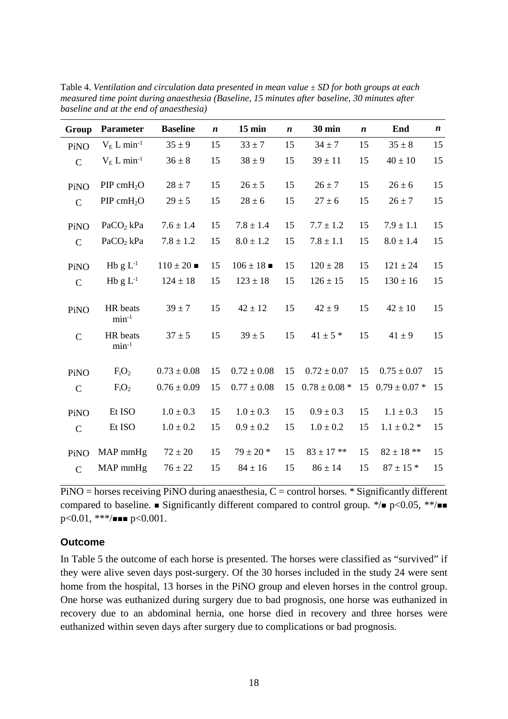| Group         | <b>Parameter</b>         | <b>Baseline</b> | $\boldsymbol{n}$ | $15$ min        | $\boldsymbol{n}$ | <b>30 min</b>     | $\boldsymbol{n}$ | End               | $\boldsymbol{n}$ |
|---------------|--------------------------|-----------------|------------------|-----------------|------------------|-------------------|------------------|-------------------|------------------|
| PiNO          | $V_E L min^{-1}$         | $35 \pm 9$      | 15               | $33 \pm 7$      | 15               | $34 \pm 7$        | 15               | $35 \pm 8$        | 15               |
| $\mathbf C$   | $V_E L min^{-1}$         | $36 \pm 8$      | 15               | $38 \pm 9$      | 15               | $39 \pm 11$       | 15               | $40 \pm 10$       | 15               |
| PiNO          | $PIP$ cmH <sub>2</sub> O | $28 \pm 7$      | 15               | $26 \pm 5$      | 15               | $26 \pm 7$        | 15               | $26 \pm 6$        | 15               |
| $\mathbf C$   | $PIP$ cmH <sub>2</sub> O | $29 \pm 5$      | 15               | $28 \pm 6$      | 15               | $27 \pm 6$        | 15               | $26 \pm 7$        | 15               |
| PiNO          | PaCO <sub>2</sub> kPa    | $7.6 \pm 1.4$   | 15               | $7.8 \pm 1.4$   | 15               | $7.7 \pm 1.2$     | 15               | $7.9 \pm 1.1$     | 15               |
| $\mathbf C$   | $PaCO2$ kPa              | $7.8 \pm 1.2$   | 15               | $8.0 \pm 1.2$   | 15               | $7.8 \pm 1.1$     | 15               | $8.0 \pm 1.4$     | 15               |
| PiNO          | Hb $g L^{-1}$            | $110 \pm 20$    | 15               | $106 \pm 18$    | 15               | $120 \pm 28$      | 15               | $121 \pm 24$      | 15               |
| $\mathcal{C}$ | Hb $g L^{-1}$            | $124 \pm 18$    | 15               | $123 \pm 18$    | 15               | $126 \pm 15$      | 15               | $130 \pm 16$      | 15               |
| PiNO          | HR beats<br>$min-1$      | $39 \pm 7$      | 15               | $42 \pm 12$     | 15               | $42 \pm 9$        | 15               | $42 \pm 10$       | 15               |
| $\mathbf C$   | HR beats<br>$min-1$      | $37 \pm 5$      | 15               | $39 \pm 5$      | 15               | $41 \pm 5$ *      | 15               | $41 \pm 9$        | 15               |
| PiNO          | $F_iO_2$                 | $0.73 \pm 0.08$ | 15               | $0.72 \pm 0.08$ | 15               | $0.72 \pm 0.07$   | 15               | $0.75 \pm 0.07$   | 15               |
| $\mathbf C$   | $F_iO_2$                 | $0.76 \pm 0.09$ | 15               | $0.77 \pm 0.08$ | 15               | $0.78 \pm 0.08$ * | 15               | $0.79 \pm 0.07$ * | 15               |
| PiNO          | Et ISO                   | $1.0 \pm 0.3$   | 15               | $1.0 \pm 0.3$   | 15               | $0.9 \pm 0.3$     | 15               | $1.1 \pm 0.3$     | 15               |
| $\mathbf C$   | Et ISO                   | $1.0 \pm 0.2$   | 15               | $0.9 \pm 0.2$   | 15               | $1.0 \pm 0.2$     | 15               | $1.1 \pm 0.2$ *   | 15               |
| PiNO          | MAP mmHg                 | $72 \pm 20$     | 15               | $79 \pm 20$ *   | 15               | $83 \pm 17$ **    | 15               | $82 \pm 18$ **    | 15               |
| $\mathbf C$   | MAP mmHg                 | $76 \pm 22$     | 15               | $84 \pm 16$     | 15               | $86 \pm 14$       | 15               | $87 \pm 15$ *     | 15               |

Table 4. *Ventilation and circulation data presented in mean value ± SD for both groups at each measured time point during anaesthesia (Baseline, 15 minutes after baseline, 30 minutes after baseline and at the end of anaesthesia)*

 $PiNO =$  horses receiving  $PiNO$  during anaesthesia,  $C =$  control horses. \* Significantly different compared to baseline.  $\blacksquare$  Significantly different compared to control group. \*/ $\blacksquare$  p<0.05, \*\*/ $\blacksquare$  $p<0.01$ , \*\*\*/ $\blacksquare$   $p<0.001$ .

#### **Outcome**

In Table 5 the outcome of each horse is presented. The horses were classified as "survived" if they were alive seven days post-surgery. Of the 30 horses included in the study 24 were sent home from the hospital, 13 horses in the PiNO group and eleven horses in the control group. One horse was euthanized during surgery due to bad prognosis, one horse was euthanized in recovery due to an abdominal hernia, one horse died in recovery and three horses were euthanized within seven days after surgery due to complications or bad prognosis.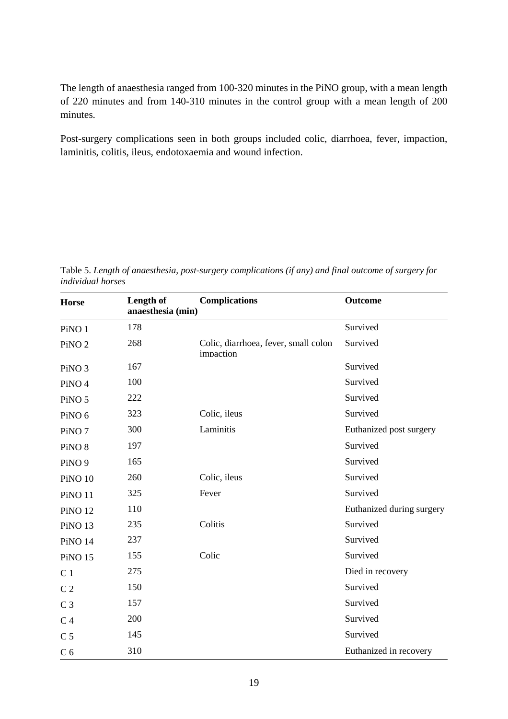The length of anaesthesia ranged from 100-320 minutes in the PiNO group, with a mean length of 220 minutes and from 140-310 minutes in the control group with a mean length of 200 minutes.

Post-surgery complications seen in both groups included colic, diarrhoea, fever, impaction, laminitis, colitis, ileus, endotoxaemia and wound infection.

| <b>Horse</b>       | Length of<br>anaesthesia (min) | <b>Complications</b>                              | <b>Outcome</b>            |
|--------------------|--------------------------------|---------------------------------------------------|---------------------------|
| PiNO <sub>1</sub>  | 178                            |                                                   | Survived                  |
| PiNO <sub>2</sub>  | 268                            | Colic, diarrhoea, fever, small colon<br>impaction | Survived                  |
| PiNO <sub>3</sub>  | 167                            |                                                   | Survived                  |
| PiNO <sub>4</sub>  | 100                            |                                                   | Survived                  |
| PiNO <sub>5</sub>  | 222                            |                                                   | Survived                  |
| PiNO <sub>6</sub>  | 323                            | Colic, ileus                                      | Survived                  |
| PiNO <sub>7</sub>  | 300                            | Laminitis                                         | Euthanized post surgery   |
| PiNO <sub>8</sub>  | 197                            |                                                   | Survived                  |
| PiNO <sub>9</sub>  | 165                            |                                                   | Survived                  |
| PiNO <sub>10</sub> | 260                            | Colic, ileus                                      | Survived                  |
| PiNO <sub>11</sub> | 325                            | Fever                                             | Survived                  |
| <b>PiNO 12</b>     | 110                            |                                                   | Euthanized during surgery |
| PiNO <sub>13</sub> | 235                            | Colitis                                           | Survived                  |
| <b>PiNO 14</b>     | 237                            |                                                   | Survived                  |
| <b>PiNO 15</b>     | 155                            | Colic                                             | Survived                  |
| C <sub>1</sub>     | 275                            |                                                   | Died in recovery          |
| C <sub>2</sub>     | 150                            |                                                   | Survived                  |
| C <sub>3</sub>     | 157                            |                                                   | Survived                  |
| C <sub>4</sub>     | 200                            |                                                   | Survived                  |
| C <sub>5</sub>     | 145                            |                                                   | Survived                  |
| C <sub>6</sub>     | 310                            |                                                   | Euthanized in recovery    |

Table 5. *Length of anaesthesia, post-surgery complications (if any) and final outcome of surgery for individual horses*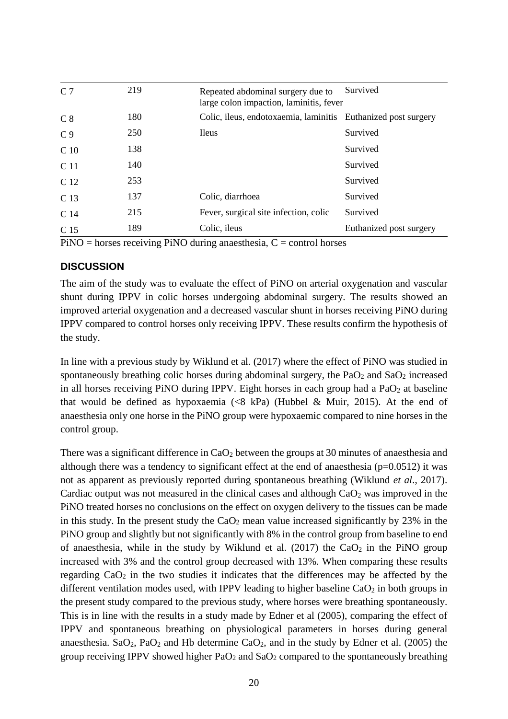| C <sub>7</sub>  | 219 | Repeated abdominal surgery due to<br>large colon impaction, laminitis, fever | Survived                |
|-----------------|-----|------------------------------------------------------------------------------|-------------------------|
| C <sub>8</sub>  | 180 | Colic, ileus, endotoxaemia, laminitis                                        | Euthanized post surgery |
| C <sub>9</sub>  | 250 | Ileus                                                                        | Survived                |
| C <sub>10</sub> | 138 |                                                                              | Survived                |
| C <sub>11</sub> | 140 |                                                                              | Survived                |
| C 12            | 253 |                                                                              | Survived                |
| C <sub>13</sub> | 137 | Colic, diarrhoea                                                             | Survived                |
| C 14            | 215 | Fever, surgical site infection, colic                                        | Survived                |
| C 15            | 189 | Colic, ileus                                                                 | Euthanized post surgery |

 $PiNO =$  horses receiving PiNO during anaesthesia,  $C =$  control horses

#### **DISCUSSION**

The aim of the study was to evaluate the effect of PiNO on arterial oxygenation and vascular shunt during IPPV in colic horses undergoing abdominal surgery. The results showed an improved arterial oxygenation and a decreased vascular shunt in horses receiving PiNO during IPPV compared to control horses only receiving IPPV. These results confirm the hypothesis of the study.

In line with a previous study by Wiklund et al*.* (2017) where the effect of PiNO was studied in spontaneously breathing colic horses during abdominal surgery, the PaO<sub>2</sub> and SaO<sub>2</sub> increased in all horses receiving PiNO during IPPV. Eight horses in each group had a  $PaO<sub>2</sub>$  at baseline that would be defined as hypoxaemia  $(\langle 8 \text{ kPa} \rangle)$  (Hubbel & Muir, 2015). At the end of anaesthesia only one horse in the PiNO group were hypoxaemic compared to nine horses in the control group.

There was a significant difference in  $CaO<sub>2</sub>$  between the groups at 30 minutes of anaesthesia and although there was a tendency to significant effect at the end of anaesthesia ( $p=0.0512$ ) it was not as apparent as previously reported during spontaneous breathing (Wiklund *et al*., 2017). Cardiac output was not measured in the clinical cases and although  $CaO<sub>2</sub>$  was improved in the PiNO treated horses no conclusions on the effect on oxygen delivery to the tissues can be made in this study. In the present study the  $CaO<sub>2</sub>$  mean value increased significantly by 23% in the PiNO group and slightly but not significantly with 8% in the control group from baseline to end of anaesthesia, while in the study by Wiklund et al. (2017) the  $CaO<sub>2</sub>$  in the PiNO group increased with 3% and the control group decreased with 13%. When comparing these results regarding  $CaO<sub>2</sub>$  in the two studies it indicates that the differences may be affected by the different ventilation modes used, with IPPV leading to higher baseline  $CaO<sub>2</sub>$  in both groups in the present study compared to the previous study, where horses were breathing spontaneously. This is in line with the results in a study made by Edner et al (2005), comparing the effect of IPPV and spontaneous breathing on physiological parameters in horses during general anaesthesia. Sa $O_2$ , Pa $O_2$  and Hb determine Ca $O_2$ , and in the study by Edner et al. (2005) the group receiving IPPV showed higher  $PaO<sub>2</sub>$  and  $SaO<sub>2</sub>$  compared to the spontaneously breathing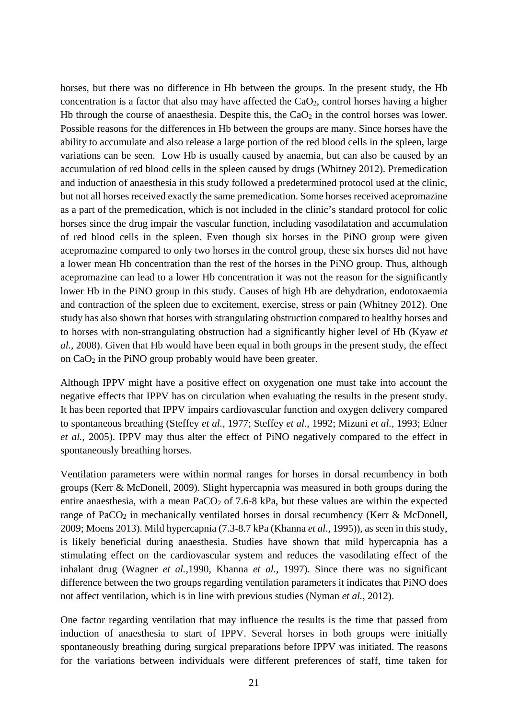horses, but there was no difference in Hb between the groups. In the present study, the Hb concentration is a factor that also may have affected the  $CaO<sub>2</sub>$ , control horses having a higher Hb through the course of anaesthesia. Despite this, the  $CaO<sub>2</sub>$  in the control horses was lower. Possible reasons for the differences in Hb between the groups are many. Since horses have the ability to accumulate and also release a large portion of the red blood cells in the spleen, large variations can be seen. Low Hb is usually caused by anaemia, but can also be caused by an accumulation of red blood cells in the spleen caused by drugs (Whitney 2012). Premedication and induction of anaesthesia in this study followed a predetermined protocol used at the clinic, but not all horses received exactly the same premedication. Some horses received acepromazine as a part of the premedication, which is not included in the clinic's standard protocol for colic horses since the drug impair the vascular function, including vasodilatation and accumulation of red blood cells in the spleen. Even though six horses in the PiNO group were given acepromazine compared to only two horses in the control group, these six horses did not have a lower mean Hb concentration than the rest of the horses in the PiNO group. Thus, although acepromazine can lead to a lower Hb concentration it was not the reason for the significantly lower Hb in the PiNO group in this study. Causes of high Hb are dehydration, endotoxaemia and contraction of the spleen due to excitement, exercise, stress or pain (Whitney 2012). One study has also shown that horses with strangulating obstruction compared to healthy horses and to horses with non-strangulating obstruction had a significantly higher level of Hb (Kyaw *et al.,* 2008). Given that Hb would have been equal in both groups in the present study, the effect on CaO2 in the PiNO group probably would have been greater.

Although IPPV might have a positive effect on oxygenation one must take into account the negative effects that IPPV has on circulation when evaluating the results in the present study. It has been reported that IPPV impairs cardiovascular function and oxygen delivery compared to spontaneous breathing (Steffey *et al.,* 1977; Steffey *et al.,* 1992; Mizuni *et al.,* 1993; Edner *et al.,* 2005). IPPV may thus alter the effect of PiNO negatively compared to the effect in spontaneously breathing horses.

Ventilation parameters were within normal ranges for horses in dorsal recumbency in both groups (Kerr & McDonell, 2009). Slight hypercapnia was measured in both groups during the entire anaesthesia, with a mean  $PaCO<sub>2</sub>$  of 7.6-8 kPa, but these values are within the expected range of PaCO<sub>2</sub> in mechanically ventilated horses in dorsal recumbency (Kerr & McDonell, 2009; Moens 2013). Mild hypercapnia (7.3-8.7 kPa (Khanna *et al.,* 1995)), as seen in this study, is likely beneficial during anaesthesia. Studies have shown that mild hypercapnia has a stimulating effect on the cardiovascular system and reduces the vasodilating effect of the inhalant drug (Wagner *et al.,*1990, Khanna *et al.,* 1997). Since there was no significant difference between the two groups regarding ventilation parameters it indicates that PiNO does not affect ventilation, which is in line with previous studies (Nyman *et al.,* 2012).

One factor regarding ventilation that may influence the results is the time that passed from induction of anaesthesia to start of IPPV. Several horses in both groups were initially spontaneously breathing during surgical preparations before IPPV was initiated. The reasons for the variations between individuals were different preferences of staff, time taken for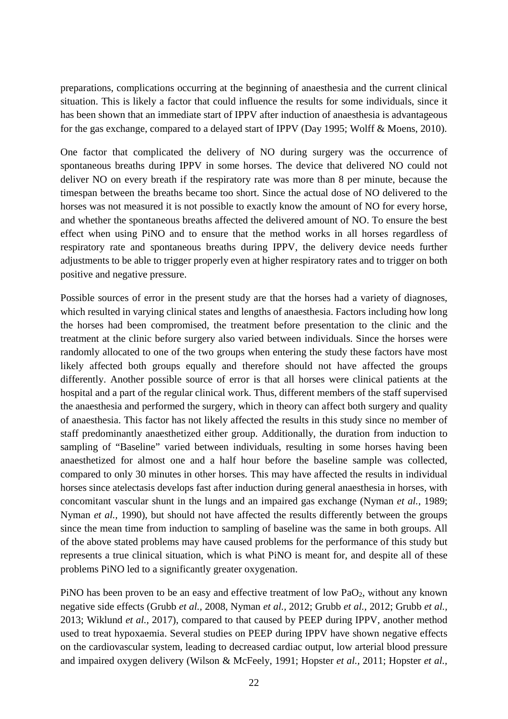preparations, complications occurring at the beginning of anaesthesia and the current clinical situation. This is likely a factor that could influence the results for some individuals, since it has been shown that an immediate start of IPPV after induction of anaesthesia is advantageous for the gas exchange, compared to a delayed start of IPPV (Day 1995; Wolff & Moens, 2010).

One factor that complicated the delivery of NO during surgery was the occurrence of spontaneous breaths during IPPV in some horses. The device that delivered NO could not deliver NO on every breath if the respiratory rate was more than 8 per minute, because the timespan between the breaths became too short. Since the actual dose of NO delivered to the horses was not measured it is not possible to exactly know the amount of NO for every horse, and whether the spontaneous breaths affected the delivered amount of NO. To ensure the best effect when using PiNO and to ensure that the method works in all horses regardless of respiratory rate and spontaneous breaths during IPPV, the delivery device needs further adjustments to be able to trigger properly even at higher respiratory rates and to trigger on both positive and negative pressure.

Possible sources of error in the present study are that the horses had a variety of diagnoses, which resulted in varying clinical states and lengths of anaesthesia. Factors including how long the horses had been compromised, the treatment before presentation to the clinic and the treatment at the clinic before surgery also varied between individuals. Since the horses were randomly allocated to one of the two groups when entering the study these factors have most likely affected both groups equally and therefore should not have affected the groups differently. Another possible source of error is that all horses were clinical patients at the hospital and a part of the regular clinical work. Thus, different members of the staff supervised the anaesthesia and performed the surgery, which in theory can affect both surgery and quality of anaesthesia. This factor has not likely affected the results in this study since no member of staff predominantly anaesthetized either group. Additionally, the duration from induction to sampling of "Baseline" varied between individuals, resulting in some horses having been anaesthetized for almost one and a half hour before the baseline sample was collected, compared to only 30 minutes in other horses. This may have affected the results in individual horses since atelectasis develops fast after induction during general anaesthesia in horses, with concomitant vascular shunt in the lungs and an impaired gas exchange (Nyman *et al.,* 1989; Nyman *et al.,* 1990), but should not have affected the results differently between the groups since the mean time from induction to sampling of baseline was the same in both groups. All of the above stated problems may have caused problems for the performance of this study but represents a true clinical situation, which is what PiNO is meant for, and despite all of these problems PiNO led to a significantly greater oxygenation.

PiNO has been proven to be an easy and effective treatment of low PaO2, without any known negative side effects (Grubb *et al.,* 2008, Nyman *et al.,* 2012; Grubb *et al.,* 2012; Grubb *et al.,*  2013; Wiklund *et al.,* 2017), compared to that caused by PEEP during IPPV, another method used to treat hypoxaemia. Several studies on PEEP during IPPV have shown negative effects on the cardiovascular system, leading to decreased cardiac output, low arterial blood pressure and impaired oxygen delivery (Wilson & McFeely, 1991; Hopster *et al.,* 2011; Hopster *et al.,*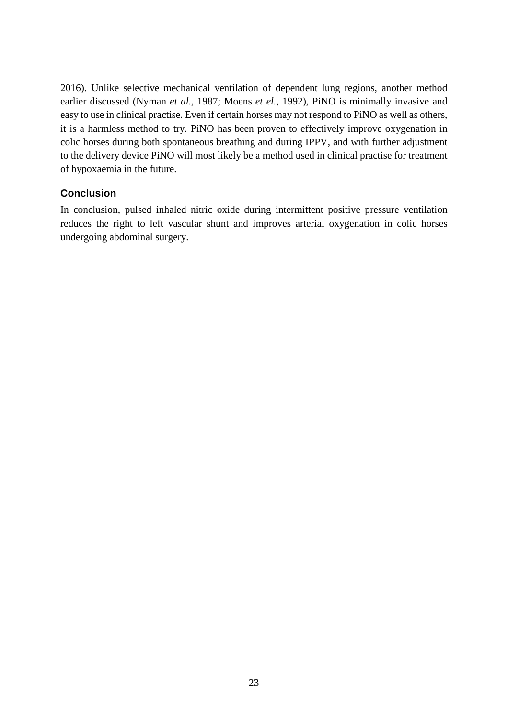2016). Unlike selective mechanical ventilation of dependent lung regions, another method earlier discussed (Nyman *et al.,* 1987; Moens *et el.,* 1992), PiNO is minimally invasive and easy to use in clinical practise. Even if certain horses may not respond to PiNO as well as others, it is a harmless method to try. PiNO has been proven to effectively improve oxygenation in colic horses during both spontaneous breathing and during IPPV, and with further adjustment to the delivery device PiNO will most likely be a method used in clinical practise for treatment of hypoxaemia in the future.

## **Conclusion**

In conclusion, pulsed inhaled nitric oxide during intermittent positive pressure ventilation reduces the right to left vascular shunt and improves arterial oxygenation in colic horses undergoing abdominal surgery.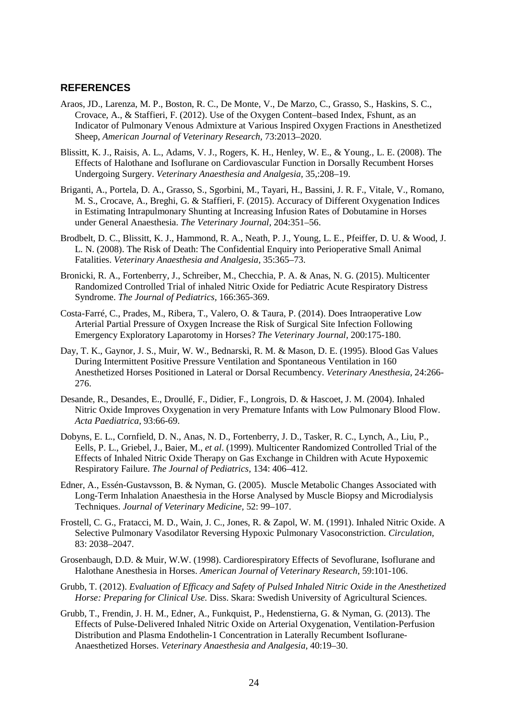#### **REFERENCES**

- Araos, JD., Larenza, M. P., Boston, R. C., De Monte, V., De Marzo, C., Grasso, S., Haskins, S. C., Crovace, A., & Staffieri, F. (2012). Use of the Oxygen Content–based Index, Fshunt, as an Indicator of Pulmonary Venous Admixture at Various Inspired Oxygen Fractions in Anesthetized Sheep, *American Journal of Veterinary Research,* 73:2013–2020.
- Blissitt, K. J., Raisis, A. L., Adams, V. J., Rogers, K. H., Henley, W. E., & Young., L. E. (2008). The Effects of Halothane and Isoflurane on Cardiovascular Function in Dorsally Recumbent Horses Undergoing Surgery. *Veterinary Anaesthesia and Analgesia,* 35,:208–19.
- Briganti, A., Portela, D. A., Grasso, S., Sgorbini, M., Tayari, H., Bassini, J. R. F., Vitale, V., Romano, M. S., Crocave, A., Breghi, G. & Staffieri, F. (2015). Accuracy of Different Oxygenation Indices in Estimating Intrapulmonary Shunting at Increasing Infusion Rates of Dobutamine in Horses under General Anaesthesia. *The Veterinary Journal,* 204:351–56.
- Brodbelt, D. C., Blissitt, K. J., Hammond, R. A., Neath, P. J., Young, L. E., Pfeiffer, D. U. & Wood, J. L. N. (2008). The Risk of Death: The Confidential Enquiry into Perioperative Small Animal Fatalities. *Veterinary Anaesthesia and Analgesia,* 35:365–73.
- Bronicki, R. A., Fortenberry, J., Schreiber, M., Checchia, P. A. & Anas, N. G. (2015). Multicenter Randomized Controlled Trial of inhaled Nitric Oxide for Pediatric Acute Respiratory Distress Syndrome. *The Journal of Pediatrics,* 166:365-369.
- Costa-Farré, C., Prades, M., Ribera, T., Valero, O. & Taura, P. (2014). Does Intraoperative Low Arterial Partial Pressure of Oxygen Increase the Risk of Surgical Site Infection Following Emergency Exploratory Laparotomy in Horses? *The Veterinary Journal,* 200:175-180.
- Day, T. K., Gaynor, J. S., Muir, W. W., Bednarski, R. M. & Mason, D. E. (1995). Blood Gas Values During Intermittent Positive Pressure Ventilation and Spontaneous Ventilation in 160 Anesthetized Horses Positioned in Lateral or Dorsal Recumbency. *Veterinary Anesthesia,* 24:266- 276.
- Desande, R., Desandes, E., Droullé, F., Didier, F., Longrois, D. & Hascoet, J. M. (2004). Inhaled Nitric Oxide Improves Oxygenation in very Premature Infants with Low Pulmonary Blood Flow. *Acta Paediatrica,* 93:66-69.
- Dobyns, E. L., Cornfield, D. N., Anas, N. D., Fortenberry, J. D., Tasker, R. C., Lynch, A., Liu, P., Eells, P. L., Griebel, J., Baier, M., *et al*. (1999). Multicenter Randomized Controlled Trial of the Effects of Inhaled Nitric Oxide Therapy on Gas Exchange in Children with Acute Hypoxemic Respiratory Failure. *The Journal of Pediatrics,* 134: 406–412.
- Edner, A., Essén-Gustavsson, B. & Nyman, G. (2005). Muscle Metabolic Changes Associated with Long-Term Inhalation Anaesthesia in the Horse Analysed by Muscle Biopsy and Microdialysis Techniques. *Journal of Veterinary Medicine,* 52: 99–107.
- Frostell, C. G., Fratacci, M. D., Wain, J. C., Jones, R. & Zapol, W. M. (1991). Inhaled Nitric Oxide. A Selective Pulmonary Vasodilator Reversing Hypoxic Pulmonary Vasoconstriction. *Circulation,* 83: 2038–2047.
- Grosenbaugh, D.D. & Muir, W.W. (1998). Cardiorespiratory Effects of Sevoflurane, Isoflurane and Halothane Anesthesia in Horses. *American Journal of Veterinary Research*, 59:101-106.
- Grubb, T. (2012). *Evaluation of Efficacy and Safety of Pulsed Inhaled Nitric Oxide in the Anesthetized Horse: Preparing for Clinical Use.* Diss. Skara: Swedish University of Agricultural Sciences.
- Grubb, T., Frendin, J. H. M., Edner, A., Funkquist, P., Hedenstierna, G. & Nyman, G. (2013). The Effects of Pulse-Delivered Inhaled Nitric Oxide on Arterial Oxygenation, Ventilation-Perfusion Distribution and Plasma Endothelin-1 Concentration in Laterally Recumbent Isoflurane-Anaesthetized Horses. *Veterinary Anaesthesia and Analgesia,* 40:19–30.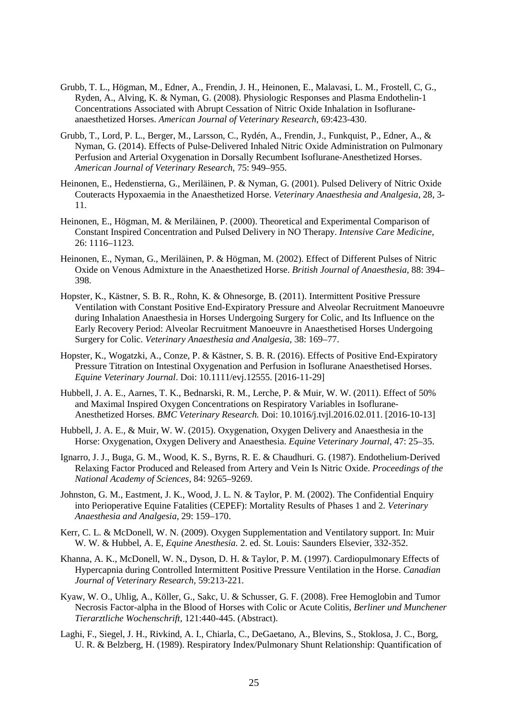- Grubb, T. L., Högman, M., Edner, A., Frendin, J. H., Heinonen, E., Malavasi, L. M., Frostell, C, G., Ryden, A., Alving, K. & Nyman, G. (2008). Physiologic Responses and Plasma Endothelin-1 Concentrations Associated with Abrupt Cessation of Nitric Oxide Inhalation in Isofluraneanaesthetized Horses. *American Journal of Veterinary Research,* 69:423-430.
- Grubb, T., Lord, P. L., Berger, M., Larsson, C., Rydén, A., Frendin, J., Funkquist, P., Edner, A., & Nyman, G. (2014). Effects of Pulse-Delivered Inhaled Nitric Oxide Administration on Pulmonary Perfusion and Arterial Oxygenation in Dorsally Recumbent Isoflurane-Anesthetized Horses. *American Journal of Veterinary Research,* 75: 949–955.
- Heinonen, E., Hedenstierna, G., Meriläinen, P. & Nyman, G. (2001). Pulsed Delivery of Nitric Oxide Couteracts Hypoxaemia in the Anaesthetized Horse. *Veterinary Anaesthesia and Analgesia,* 28, 3- 11.
- Heinonen, E., Högman, M. & Meriläinen, P. (2000). Theoretical and Experimental Comparison of Constant Inspired Concentration and Pulsed Delivery in NO Therapy. *Intensive Care Medicine,* 26: 1116–1123.
- Heinonen, E., Nyman, G., Meriläinen, P. & Högman, M. (2002). Effect of Different Pulses of Nitric Oxide on Venous Admixture in the Anaesthetized Horse. *British Journal of Anaesthesia,* 88: 394– 398.
- Hopster, K., Kästner, S. B. R., Rohn, K. & Ohnesorge, B. (2011). Intermittent Positive Pressure Ventilation with Constant Positive End-Expiratory Pressure and Alveolar Recruitment Manoeuvre during Inhalation Anaesthesia in Horses Undergoing Surgery for Colic, and Its Influence on the Early Recovery Period: Alveolar Recruitment Manoeuvre in Anaesthetised Horses Undergoing Surgery for Colic. *Veterinary Anaesthesia and Analgesia,* 38: 169–77.
- Hopster, K., Wogatzki, A., Conze, P. & Kästner, S. B. R. (2016). Effects of Positive End-Expiratory Pressure Titration on Intestinal Oxygenation and Perfusion in Isoflurane Anaesthetised Horses. *Equine Veterinary Journal*. Doi: 10.1111/evj.12555. [2016-11-29]
- Hubbell, J. A. E., Aarnes, T. K., Bednarski, R. M., Lerche, P. & Muir, W. W. (2011). Effect of 50% and Maximal Inspired Oxygen Concentrations on Respiratory Variables in Isoflurane-Anesthetized Horses. *BMC Veterinary Research.* Doi: 10.1016/j.tvjl.2016.02.011. [2016-10-13]
- Hubbell, J. A. E., & Muir, W. W. (2015). Oxygenation, Oxygen Delivery and Anaesthesia in the Horse: Oxygenation, Oxygen Delivery and Anaesthesia. *Equine Veterinary Journal,* 47: 25–35.
- Ignarro, J. J., Buga, G. M., Wood, K. S., Byrns, R. E. & Chaudhuri. G. (1987). Endothelium-Derived Relaxing Factor Produced and Released from Artery and Vein Is Nitric Oxide. *Proceedings of the National Academy of Sciences,* 84: 9265–9269.
- Johnston, G. M., Eastment, J. K., Wood, J. L. N. & Taylor, P. M. (2002). The Confidential Enquiry into Perioperative Equine Fatalities (CEPEF): Mortality Results of Phases 1 and 2. *Veterinary Anaesthesia and Analgesia,* 29: 159–170.
- Kerr, C. L. & McDonell, W. N. (2009). Oxygen Supplementation and Ventilatory support. In: Muir W. W. & Hubbel, A. E, *Equine Anesthesia.* 2. ed. St. Louis: Saunders Elsevier, 332-352.
- Khanna, A. K., McDonell, W. N., Dyson, D. H. & Taylor, P. M. (1997). Cardiopulmonary Effects of Hypercapnia during Controlled Intermittent Positive Pressure Ventilation in the Horse. *Canadian Journal of Veterinary Research,* 59:213-221.
- Kyaw, W. O., Uhlig, A., Köller, G., Sakc, U. & Schusser, G. F. (2008). Free Hemoglobin and Tumor Necrosis Factor-alpha in the Blood of Horses with Colic or Acute Colitis, *Berliner und Munchener Tierarztliche Wochenschrift,* 121:440-445. (Abstract).
- Laghi, F., Siegel, J. H., Rivkind, A. I., Chiarla, C., DeGaetano, A., Blevins, S., Stoklosa, J. C., Borg, U. R. & Belzberg, H. (1989). Respiratory Index/Pulmonary Shunt Relationship: Quantification of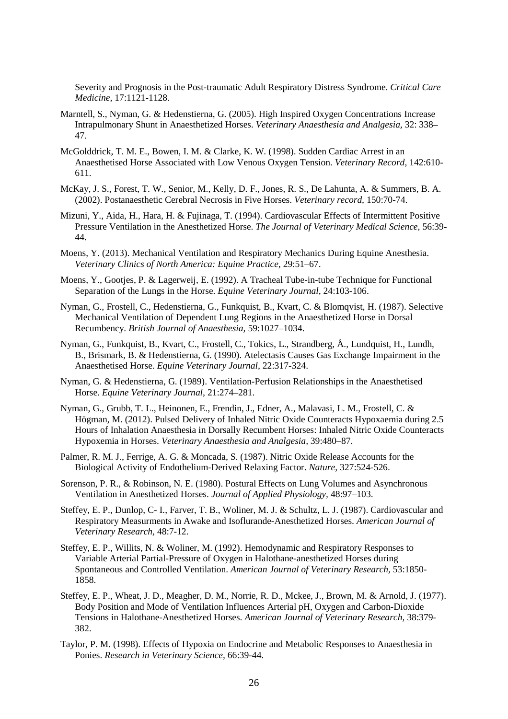Severity and Prognosis in the Post-traumatic Adult Respiratory Distress Syndrome. *Critical Care Medicine,* 17:1121-1128.

- Marntell, S., Nyman, G. & Hedenstierna, G. (2005). High Inspired Oxygen Concentrations Increase Intrapulmonary Shunt in Anaesthetized Horses. *Veterinary Anaesthesia and Analgesia,* 32: 338– 47.
- McGolddrick, T. M. E., Bowen, I. M. & Clarke, K. W. (1998). Sudden Cardiac Arrest in an Anaesthetised Horse Associated with Low Venous Oxygen Tension. *Veterinary Record*, 142:610- 611.
- McKay, J. S., Forest, T. W., Senior, M., Kelly, D. F., Jones, R. S., De Lahunta, A. & Summers, B. A. (2002). Postanaesthetic Cerebral Necrosis in Five Horses. *Veterinary record,* 150:70-74.
- Mizuni, Y., Aida, H., Hara, H. & Fujinaga, T. (1994). Cardiovascular Effects of Intermittent Positive Pressure Ventilation in the Anesthetized Horse. *The Journal of Veterinary Medical Science*, 56:39- 44.
- Moens, Y. (2013). Mechanical Ventilation and Respiratory Mechanics During Equine Anesthesia. *Veterinary Clinics of North America: Equine Practice,* 29:51–67.
- Moens, Y., Gootjes, P. & Lagerweij, E. (1992). A Tracheal Tube-in-tube Technique for Functional Separation of the Lungs in the Horse. *Equine Veterinary Journal,* 24:103-106.
- Nyman, G., Frostell, C., Hedenstierna, G., Funkquist, B., Kvart, C. & Blomqvist, H. (1987). Selective Mechanical Ventilation of Dependent Lung Regions in the Anaesthetized Horse in Dorsal Recumbency. *British Journal of Anaesthesia,* 59:1027–1034.
- Nyman, G., Funkquist, B., Kvart, C., Frostell, C., Tokics, L., Strandberg, Å., Lundquist, H., Lundh, B., Brismark, B. & Hedenstierna, G. (1990). Atelectasis Causes Gas Exchange Impairment in the Anaesthetised Horse. *Equine Veterinary Journal,* 22:317-324.
- Nyman, G. & Hedenstierna, G. (1989). Ventilation-Perfusion Relationships in the Anaesthetised Horse. *Equine Veterinary Journal,* 21:274–281.
- Nyman, G., Grubb, T. L., Heinonen, E., Frendin, J., Edner, A., Malavasi, L. M., Frostell, C. & Högman, M. (2012). Pulsed Delivery of Inhaled Nitric Oxide Counteracts Hypoxaemia during 2.5 Hours of Inhalation Anaesthesia in Dorsally Recumbent Horses: Inhaled Nitric Oxide Counteracts Hypoxemia in Horses. *Veterinary Anaesthesia and Analgesia,* 39:480–87.
- Palmer, R. M. J., Ferrige, A. G. & Moncada, S. (1987). Nitric Oxide Release Accounts for the Biological Activity of Endothelium-Derived Relaxing Factor. *Nature,* 327:524-526.
- Sorenson, P. R., & Robinson, N. E. (1980). Postural Effects on Lung Volumes and Asynchronous Ventilation in Anesthetized Horses. *Journal of Applied Physiology,* 48:97–103.
- Steffey, E. P., Dunlop, C- I., Farver, T. B., Woliner, M. J. & Schultz, L. J. (1987). Cardiovascular and Respiratory Measurments in Awake and Isoflurande-Anesthetized Horses. *American Journal of Veterinary Research,* 48:7-12.
- Steffey, E. P., Willits, N. & Woliner, M. (1992). Hemodynamic and Respiratory Responses to Variable Arterial Partial-Pressure of Oxygen in Halothane-anesthetized Horses during Spontaneous and Controlled Ventilation. *American Journal of Veterinary Research,* 53:1850- 1858.
- Steffey, E. P., Wheat, J. D., Meagher, D. M., Norrie, R. D., Mckee, J., Brown, M. & Arnold, J. (1977). Body Position and Mode of Ventilation Influences Arterial pH, Oxygen and Carbon-Dioxide Tensions in Halothane-Anesthetized Horses. *American Journal of Veterinary Research,* 38:379- 382.
- Taylor, P. M. (1998). Effects of Hypoxia on Endocrine and Metabolic Responses to Anaesthesia in Ponies. *Research in Veterinary Science,* 66:39-44.